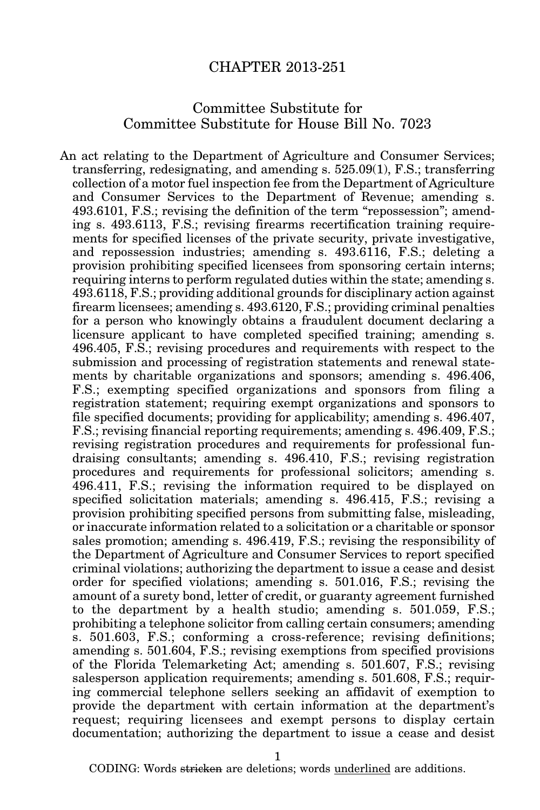## CHAPTER 2013-251

## Committee Substitute for Committee Substitute for House Bill No. 7023

An act relating to the Department of Agriculture and Consumer Services; transferring, redesignating, and amending s. 525.09(1), F.S.; transferring collection of a motor fuel inspection fee from the Department of Agriculture and Consumer Services to the Department of Revenue; amending s. 493.6101, F.S.; revising the definition of the term "repossession"; amending s. 493.6113, F.S.; revising firearms recertification training requirements for specified licenses of the private security, private investigative, and repossession industries; amending s. 493.6116, F.S.; deleting a provision prohibiting specified licensees from sponsoring certain interns; requiring interns to perform regulated duties within the state; amending s. 493.6118, F.S.; providing additional grounds for disciplinary action against firearm licensees; amending s. 493.6120, F.S.; providing criminal penalties for a person who knowingly obtains a fraudulent document declaring a licensure applicant to have completed specified training; amending s. 496.405, F.S.; revising procedures and requirements with respect to the submission and processing of registration statements and renewal statements by charitable organizations and sponsors; amending s. 496.406, F.S.; exempting specified organizations and sponsors from filing a registration statement; requiring exempt organizations and sponsors to file specified documents; providing for applicability; amending s. 496.407, F.S.; revising financial reporting requirements; amending s. 496.409, F.S.; revising registration procedures and requirements for professional fundraising consultants; amending s. 496.410, F.S.; revising registration procedures and requirements for professional solicitors; amending s. 496.411, F.S.; revising the information required to be displayed on specified solicitation materials; amending s. 496.415, F.S.; revising a provision prohibiting specified persons from submitting false, misleading, or inaccurate information related to a solicitation or a charitable or sponsor sales promotion; amending s. 496.419, F.S.; revising the responsibility of the Department of Agriculture and Consumer Services to report specified criminal violations; authorizing the department to issue a cease and desist order for specified violations; amending s. 501.016, F.S.; revising the amount of a surety bond, letter of credit, or guaranty agreement furnished to the department by a health studio; amending s. 501.059, F.S.; prohibiting a telephone solicitor from calling certain consumers; amending s. 501.603, F.S.; conforming a cross-reference; revising definitions; amending s. 501.604, F.S.; revising exemptions from specified provisions of the Florida Telemarketing Act; amending s. 501.607, F.S.; revising salesperson application requirements; amending s. 501.608, F.S.; requiring commercial telephone sellers seeking an affidavit of exemption to provide the department with certain information at the department's request; requiring licensees and exempt persons to display certain documentation; authorizing the department to issue a cease and desist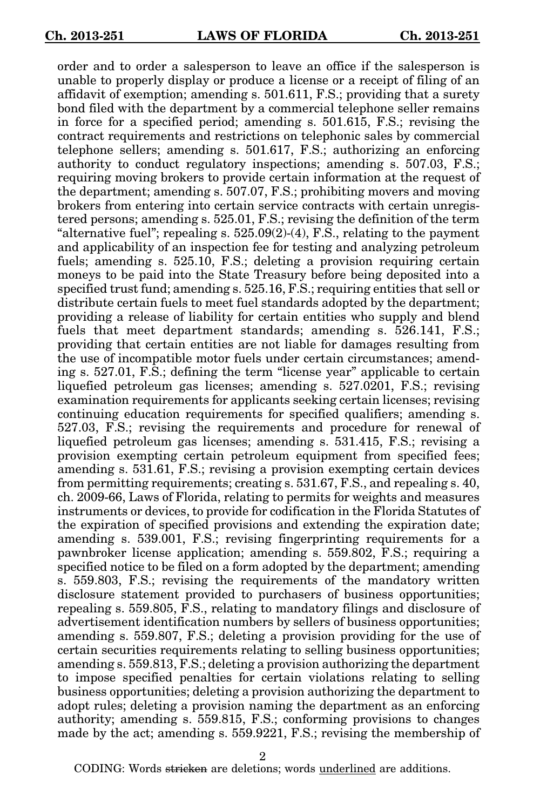order and to order a salesperson to leave an office if the salesperson is unable to properly display or produce a license or a receipt of filing of an affidavit of exemption; amending s. 501.611, F.S.; providing that a surety bond filed with the department by a commercial telephone seller remains in force for a specified period; amending s. 501.615, F.S.; revising the contract requirements and restrictions on telephonic sales by commercial telephone sellers; amending s. 501.617, F.S.; authorizing an enforcing authority to conduct regulatory inspections; amending s. 507.03, F.S.; requiring moving brokers to provide certain information at the request of the department; amending s. 507.07, F.S.; prohibiting movers and moving brokers from entering into certain service contracts with certain unregistered persons; amending s. 525.01, F.S.; revising the definition of the term "alternative fuel"; repealing s.  $525.09(2)$ -(4), F.S., relating to the payment and applicability of an inspection fee for testing and analyzing petroleum fuels; amending s. 525.10, F.S.; deleting a provision requiring certain moneys to be paid into the State Treasury before being deposited into a specified trust fund; amending s. 525.16, F.S.; requiring entities that sell or distribute certain fuels to meet fuel standards adopted by the department; providing a release of liability for certain entities who supply and blend fuels that meet department standards; amending s. 526.141, F.S.; providing that certain entities are not liable for damages resulting from the use of incompatible motor fuels under certain circumstances; amending s. 527.01, F.S.; defining the term "license year" applicable to certain liquefied petroleum gas licenses; amending s. 527.0201, F.S.; revising examination requirements for applicants seeking certain licenses; revising continuing education requirements for specified qualifiers; amending s. 527.03, F.S.; revising the requirements and procedure for renewal of liquefied petroleum gas licenses; amending s. 531.415, F.S.; revising a provision exempting certain petroleum equipment from specified fees; amending s. 531.61, F.S.; revising a provision exempting certain devices from permitting requirements; creating s. 531.67, F.S., and repealing s. 40, ch. 2009-66, Laws of Florida, relating to permits for weights and measures instruments or devices, to provide for codification in the Florida Statutes of the expiration of specified provisions and extending the expiration date; amending s. 539.001, F.S.; revising fingerprinting requirements for a pawnbroker license application; amending s. 559.802, F.S.; requiring a specified notice to be filed on a form adopted by the department; amending s. 559.803, F.S.; revising the requirements of the mandatory written disclosure statement provided to purchasers of business opportunities; repealing s. 559.805, F.S., relating to mandatory filings and disclosure of advertisement identification numbers by sellers of business opportunities; amending s. 559.807, F.S.; deleting a provision providing for the use of certain securities requirements relating to selling business opportunities; amending s. 559.813, F.S.; deleting a provision authorizing the department to impose specified penalties for certain violations relating to selling business opportunities; deleting a provision authorizing the department to adopt rules; deleting a provision naming the department as an enforcing authority; amending s. 559.815, F.S.; conforming provisions to changes made by the act; amending s. 559.9221, F.S.; revising the membership of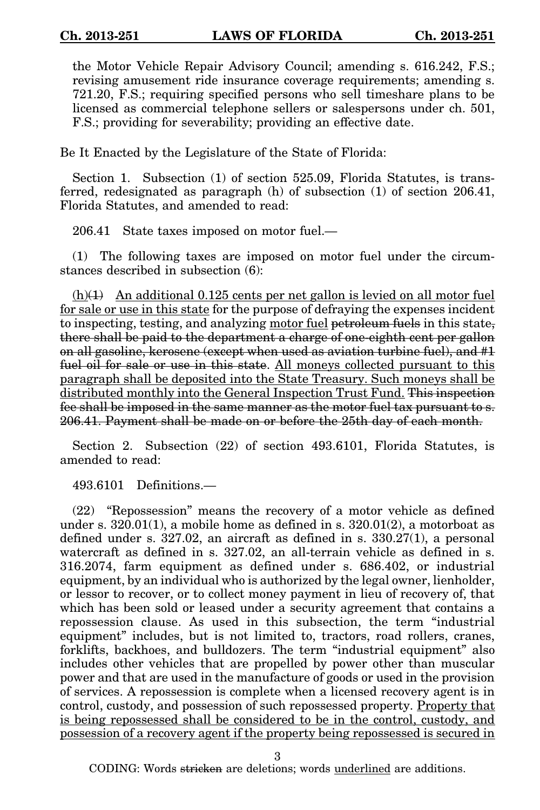the Motor Vehicle Repair Advisory Council; amending s. 616.242, F.S.; revising amusement ride insurance coverage requirements; amending s. 721.20, F.S.; requiring specified persons who sell timeshare plans to be licensed as commercial telephone sellers or salespersons under ch. 501, F.S.; providing for severability; providing an effective date.

Be It Enacted by the Legislature of the State of Florida:

Section 1. Subsection (1) of section 525.09, Florida Statutes, is transferred, redesignated as paragraph (h) of subsection (1) of section 206.41, Florida Statutes, and amended to read:

206.41 State taxes imposed on motor fuel.—

(1) The following taxes are imposed on motor fuel under the circumstances described in subsection (6):

 $(h)(1)$  An additional 0.125 cents per net gallon is levied on all motor fuel for sale or use in this state for the purpose of defraying the expenses incident to inspecting, testing, and analyzing motor fuel petroleum fuels in this state, there shall be paid to the department a charge of one-eighth cent per gallon on all gasoline, kerosene (except when used as aviation turbine fuel), and #1 fuel oil for sale or use in this state. All moneys collected pursuant to this paragraph shall be deposited into the State Treasury. Such moneys shall be distributed monthly into the General Inspection Trust Fund. This inspection fee shall be imposed in the same manner as the motor fuel tax pursuant to s. 206.41. Payment shall be made on or before the 25th day of each month.

Section 2. Subsection (22) of section 493.6101, Florida Statutes, is amended to read:

493.6101 Definitions.—

(22) "Repossession" means the recovery of a motor vehicle as defined under s.  $320.01(1)$ , a mobile home as defined in s.  $320.01(2)$ , a motorboat as defined under s. 327.02, an aircraft as defined in s. 330.27(1), a personal watercraft as defined in s. 327.02, an all-terrain vehicle as defined in s. 316.2074, farm equipment as defined under s. 686.402, or industrial equipment, by an individual who is authorized by the legal owner, lienholder, or lessor to recover, or to collect money payment in lieu of recovery of, that which has been sold or leased under a security agreement that contains a repossession clause. As used in this subsection, the term "industrial equipment" includes, but is not limited to, tractors, road rollers, cranes, forklifts, backhoes, and bulldozers. The term "industrial equipment" also includes other vehicles that are propelled by power other than muscular power and that are used in the manufacture of goods or used in the provision of services. A repossession is complete when a licensed recovery agent is in control, custody, and possession of such repossessed property. Property that is being repossessed shall be considered to be in the control, custody, and possession of a recovery agent if the property being repossessed is secured in

3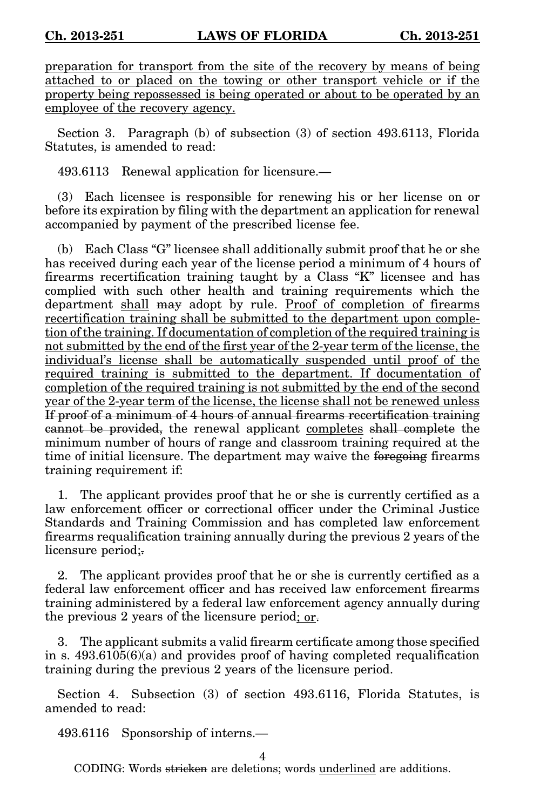preparation for transport from the site of the recovery by means of being attached to or placed on the towing or other transport vehicle or if the property being repossessed is being operated or about to be operated by an employee of the recovery agency.

Section 3. Paragraph (b) of subsection (3) of section 493.6113, Florida Statutes, is amended to read:

493.6113 Renewal application for licensure.—

(3) Each licensee is responsible for renewing his or her license on or before its expiration by filing with the department an application for renewal accompanied by payment of the prescribed license fee.

(b) Each Class "G" licensee shall additionally submit proof that he or she has received during each year of the license period a minimum of 4 hours of firearms recertification training taught by a Class "K" licensee and has complied with such other health and training requirements which the department shall may adopt by rule. Proof of completion of firearms recertification training shall be submitted to the department upon completion of the training. If documentation of completion of the required training is not submitted by the end of the first year of the 2-year term of the license, the individual's license shall be automatically suspended until proof of the required training is submitted to the department. If documentation of completion of the required training is not submitted by the end of the second year of the 2-year term of the license, the license shall not be renewed unless If proof of a minimum of 4 hours of annual firearms recertification training cannot be provided, the renewal applicant completes shall complete the minimum number of hours of range and classroom training required at the time of initial licensure. The department may waive the foregoing firearms training requirement if:

1. The applicant provides proof that he or she is currently certified as a law enforcement officer or correctional officer under the Criminal Justice Standards and Training Commission and has completed law enforcement firearms requalification training annually during the previous 2 years of the licensure period;

2. The applicant provides proof that he or she is currently certified as a federal law enforcement officer and has received law enforcement firearms training administered by a federal law enforcement agency annually during the previous 2 years of the licensure period; or.

3. The applicant submits a valid firearm certificate among those specified in s. 493.6105(6)(a) and provides proof of having completed requalification training during the previous 2 years of the licensure period.

Section 4. Subsection (3) of section 493.6116, Florida Statutes, is amended to read:

493.6116 Sponsorship of interns.—

4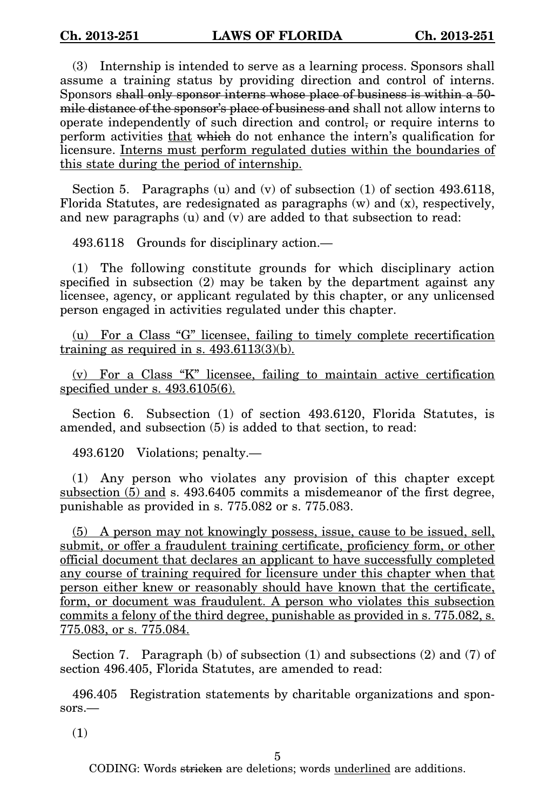(3) Internship is intended to serve as a learning process. Sponsors shall assume a training status by providing direction and control of interns. Sponsors shall only sponsor interns whose place of business is within a 50 mile distance of the sponsor's place of business and shall not allow interns to operate independently of such direction and control, or require interns to perform activities that which do not enhance the intern's qualification for licensure. Interns must perform regulated duties within the boundaries of this state during the period of internship.

Section 5. Paragraphs  $(u)$  and  $(v)$  of subsection  $(1)$  of section 493.6118, Florida Statutes, are redesignated as paragraphs  $(w)$  and  $(x)$ , respectively, and new paragraphs (u) and (v) are added to that subsection to read:

493.6118 Grounds for disciplinary action.—

(1) The following constitute grounds for which disciplinary action specified in subsection (2) may be taken by the department against any licensee, agency, or applicant regulated by this chapter, or any unlicensed person engaged in activities regulated under this chapter.

(u) For a Class "G" licensee, failing to timely complete recertification training as required in s. 493.6113(3)(b).

(v) For a Class "K" licensee, failing to maintain active certification specified under s. 493.6105(6).

Section 6. Subsection (1) of section 493.6120, Florida Statutes, is amended, and subsection (5) is added to that section, to read:

493.6120 Violations; penalty.—

(1) Any person who violates any provision of this chapter except subsection (5) and s. 493.6405 commits a misdemeanor of the first degree, punishable as provided in s. 775.082 or s. 775.083.

(5) A person may not knowingly possess, issue, cause to be issued, sell, submit, or offer a fraudulent training certificate, proficiency form, or other official document that declares an applicant to have successfully completed any course of training required for licensure under this chapter when that person either knew or reasonably should have known that the certificate, form, or document was fraudulent. A person who violates this subsection commits a felony of the third degree, punishable as provided in s. 775.082, s. 775.083, or s. 775.084.

Section 7. Paragraph (b) of subsection (1) and subsections (2) and (7) of section 496.405, Florida Statutes, are amended to read:

496.405 Registration statements by charitable organizations and sponsors.—

(1)

5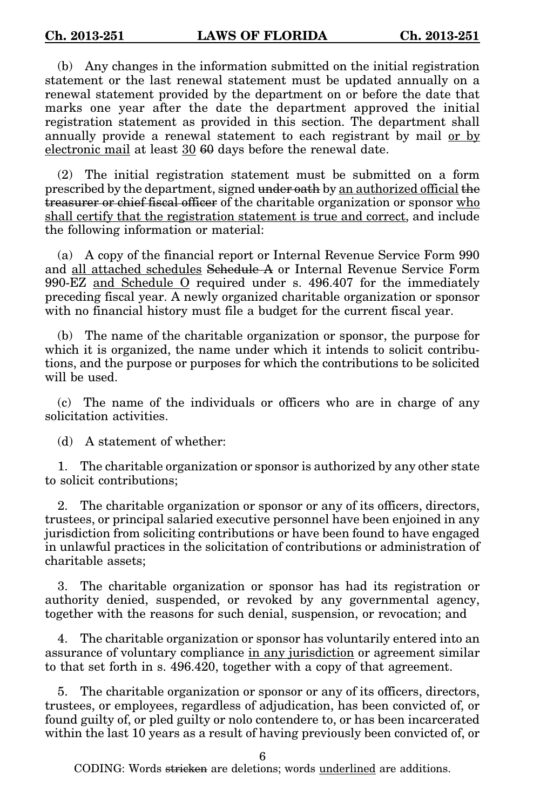(b) Any changes in the information submitted on the initial registration statement or the last renewal statement must be updated annually on a renewal statement provided by the department on or before the date that marks one year after the date the department approved the initial registration statement as provided in this section. The department shall annually provide a renewal statement to each registrant by mail or by electronic mail at least 30 60 days before the renewal date.

(2) The initial registration statement must be submitted on a form prescribed by the department, signed under oath by an authorized official the treasurer or chief fiscal officer of the charitable organization or sponsor who shall certify that the registration statement is true and correct, and include the following information or material:

(a) A copy of the financial report or Internal Revenue Service Form 990 and all attached schedules Schedule A or Internal Revenue Service Form 990-EZ and Schedule O required under s. 496.407 for the immediately preceding fiscal year. A newly organized charitable organization or sponsor with no financial history must file a budget for the current fiscal year.

(b) The name of the charitable organization or sponsor, the purpose for which it is organized, the name under which it intends to solicit contributions, and the purpose or purposes for which the contributions to be solicited will be used.

(c) The name of the individuals or officers who are in charge of any solicitation activities.

(d) A statement of whether:

1. The charitable organization or sponsor is authorized by any other state to solicit contributions;

2. The charitable organization or sponsor or any of its officers, directors, trustees, or principal salaried executive personnel have been enjoined in any jurisdiction from soliciting contributions or have been found to have engaged in unlawful practices in the solicitation of contributions or administration of charitable assets;

3. The charitable organization or sponsor has had its registration or authority denied, suspended, or revoked by any governmental agency, together with the reasons for such denial, suspension, or revocation; and

4. The charitable organization or sponsor has voluntarily entered into an assurance of voluntary compliance in any jurisdiction or agreement similar to that set forth in s. 496.420, together with a copy of that agreement.

5. The charitable organization or sponsor or any of its officers, directors, trustees, or employees, regardless of adjudication, has been convicted of, or found guilty of, or pled guilty or nolo contendere to, or has been incarcerated within the last 10 years as a result of having previously been convicted of, or

6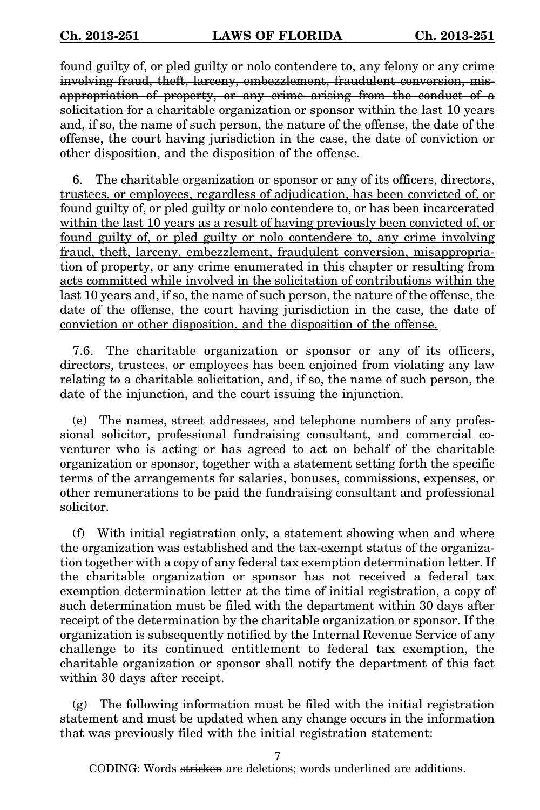found guilty of, or pled guilty or nolo contendere to, any felony or any crime involving fraud, theft, larceny, embezzlement, fraudulent conversion, misappropriation of property, or any crime arising from the conduct of a solicitation for a charitable organization or sponsor within the last 10 years and, if so, the name of such person, the nature of the offense, the date of the offense, the court having jurisdiction in the case, the date of conviction or other disposition, and the disposition of the offense.

6. The charitable organization or sponsor or any of its officers, directors, trustees, or employees, regardless of adjudication, has been convicted of, or found guilty of, or pled guilty or nolo contendere to, or has been incarcerated within the last 10 years as a result of having previously been convicted of, or found guilty of, or pled guilty or nolo contendere to, any crime involving fraud, theft, larceny, embezzlement, fraudulent conversion, misappropriation of property, or any crime enumerated in this chapter or resulting from acts committed while involved in the solicitation of contributions within the last 10 years and, if so, the name of such person, the nature of the offense, the date of the offense, the court having jurisdiction in the case, the date of conviction or other disposition, and the disposition of the offense.

7.6. The charitable organization or sponsor or any of its officers, directors, trustees, or employees has been enjoined from violating any law relating to a charitable solicitation, and, if so, the name of such person, the date of the injunction, and the court issuing the injunction.

(e) The names, street addresses, and telephone numbers of any professional solicitor, professional fundraising consultant, and commercial coventurer who is acting or has agreed to act on behalf of the charitable organization or sponsor, together with a statement setting forth the specific terms of the arrangements for salaries, bonuses, commissions, expenses, or other remunerations to be paid the fundraising consultant and professional solicitor.

(f) With initial registration only, a statement showing when and where the organization was established and the tax-exempt status of the organization together with a copy of any federal tax exemption determination letter. If the charitable organization or sponsor has not received a federal tax exemption determination letter at the time of initial registration, a copy of such determination must be filed with the department within 30 days after receipt of the determination by the charitable organization or sponsor. If the organization is subsequently notified by the Internal Revenue Service of any challenge to its continued entitlement to federal tax exemption, the charitable organization or sponsor shall notify the department of this fact within 30 days after receipt.

(g) The following information must be filed with the initial registration statement and must be updated when any change occurs in the information that was previously filed with the initial registration statement: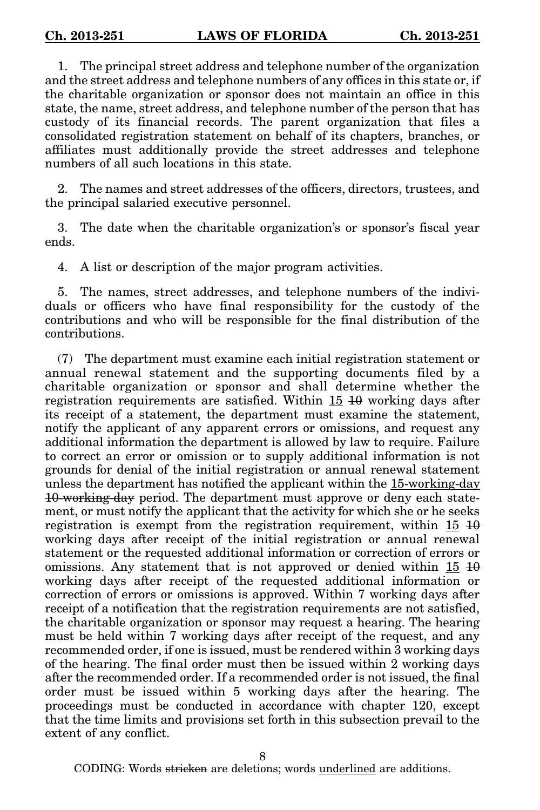1. The principal street address and telephone number of the organization and the street address and telephone numbers of any offices in this state or, if the charitable organization or sponsor does not maintain an office in this state, the name, street address, and telephone number of the person that has custody of its financial records. The parent organization that files a consolidated registration statement on behalf of its chapters, branches, or affiliates must additionally provide the street addresses and telephone numbers of all such locations in this state.

2. The names and street addresses of the officers, directors, trustees, and the principal salaried executive personnel.

3. The date when the charitable organization's or sponsor's fiscal year ends.

4. A list or description of the major program activities.

5. The names, street addresses, and telephone numbers of the individuals or officers who have final responsibility for the custody of the contributions and who will be responsible for the final distribution of the contributions.

(7) The department must examine each initial registration statement or annual renewal statement and the supporting documents filed by a charitable organization or sponsor and shall determine whether the registration requirements are satisfied. Within 15 10 working days after its receipt of a statement, the department must examine the statement, notify the applicant of any apparent errors or omissions, and request any additional information the department is allowed by law to require. Failure to correct an error or omission or to supply additional information is not grounds for denial of the initial registration or annual renewal statement unless the department has notified the applicant within the 15-working-day 10-working-day period. The department must approve or deny each statement, or must notify the applicant that the activity for which she or he seeks registration is exempt from the registration requirement, within  $15\,10$ working days after receipt of the initial registration or annual renewal statement or the requested additional information or correction of errors or omissions. Any statement that is not approved or denied within  $15\,10$ working days after receipt of the requested additional information or correction of errors or omissions is approved. Within 7 working days after receipt of a notification that the registration requirements are not satisfied, the charitable organization or sponsor may request a hearing. The hearing must be held within 7 working days after receipt of the request, and any recommended order, if one is issued, must be rendered within 3 working days of the hearing. The final order must then be issued within 2 working days after the recommended order. If a recommended order is not issued, the final order must be issued within 5 working days after the hearing. The proceedings must be conducted in accordance with chapter 120, except that the time limits and provisions set forth in this subsection prevail to the extent of any conflict.

8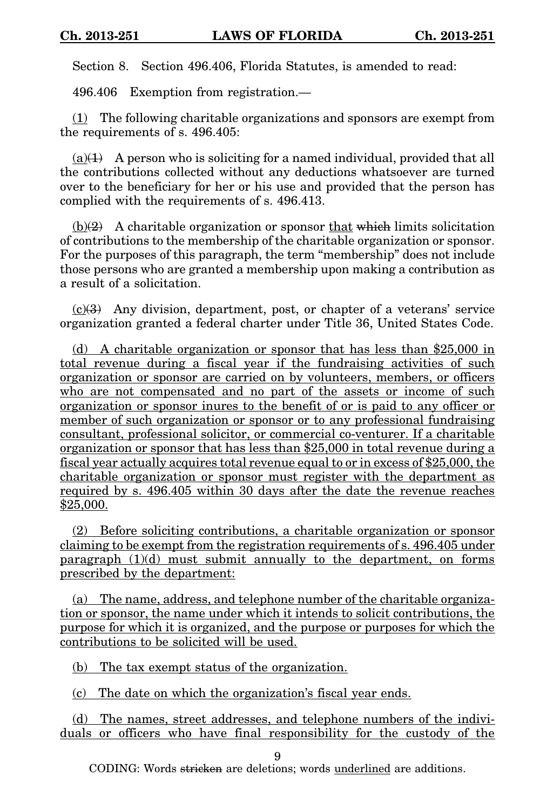Section 8. Section 496.406, Florida Statutes, is amended to read:

496.406 Exemption from registration.—

 $(1)$  The following charitable organizations and sponsors are exempt from the requirements of s. 496.405:

 $(a)(1)$  A person who is soliciting for a named individual, provided that all the contributions collected without any deductions whatsoever are turned over to the beneficiary for her or his use and provided that the person has complied with the requirements of s. 496.413.

 $(b)(2)$  A charitable organization or sponsor that which limits solicitation of contributions to the membership of the charitable organization or sponsor. For the purposes of this paragraph, the term "membership" does not include those persons who are granted a membership upon making a contribution as a result of a solicitation.

 $(c)(3)$  Any division, department, post, or chapter of a veterans' service organization granted a federal charter under Title 36, United States Code.

(d) A charitable organization or sponsor that has less than \$25,000 in total revenue during a fiscal year if the fundraising activities of such organization or sponsor are carried on by volunteers, members, or officers who are not compensated and no part of the assets or income of such organization or sponsor inures to the benefit of or is paid to any officer or member of such organization or sponsor or to any professional fundraising consultant, professional solicitor, or commercial co-venturer. If a charitable organization or sponsor that has less than \$25,000 in total revenue during a fiscal year actually acquires total revenue equal to or in excess of \$25,000, the charitable organization or sponsor must register with the department as required by s. 496.405 within 30 days after the date the revenue reaches \$25,000.

(2) Before soliciting contributions, a charitable organization or sponsor claiming to be exempt from the registration requirements of s. 496.405 under paragraph  $(1)(d)$  must submit annually to the department, on forms prescribed by the department:

(a) The name, address, and telephone number of the charitable organization or sponsor, the name under which it intends to solicit contributions, the purpose for which it is organized, and the purpose or purposes for which the contributions to be solicited will be used.

(b) The tax exempt status of the organization.

(c) The date on which the organization's fiscal year ends.

(d) The names, street addresses, and telephone numbers of the individuals or officers who have final responsibility for the custody of the

9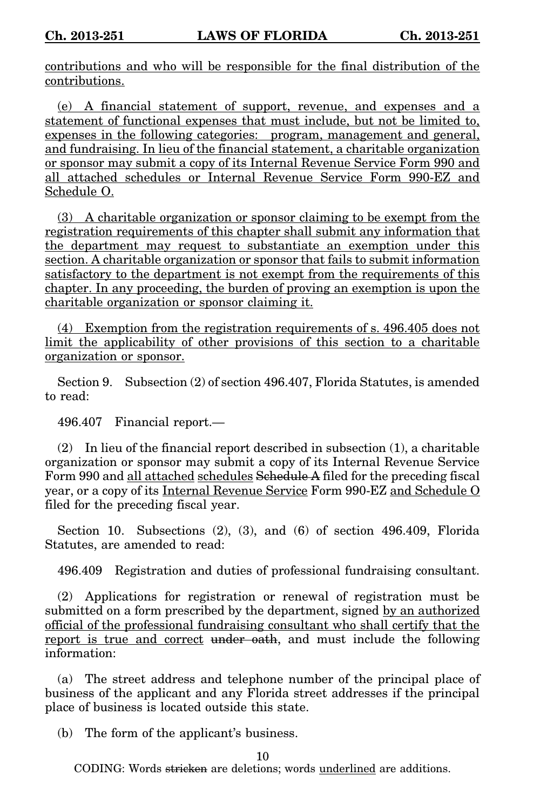contributions and who will be responsible for the final distribution of the contributions.

(e) A financial statement of support, revenue, and expenses and a statement of functional expenses that must include, but not be limited to, expenses in the following categories: program, management and general, and fundraising. In lieu of the financial statement, a charitable organization or sponsor may submit a copy of its Internal Revenue Service Form 990 and all attached schedules or Internal Revenue Service Form 990-EZ and Schedule O.

(3) A charitable organization or sponsor claiming to be exempt from the registration requirements of this chapter shall submit any information that the department may request to substantiate an exemption under this section. A charitable organization or sponsor that fails to submit information satisfactory to the department is not exempt from the requirements of this chapter. In any proceeding, the burden of proving an exemption is upon the charitable organization or sponsor claiming it.

(4) Exemption from the registration requirements of s. 496.405 does not limit the applicability of other provisions of this section to a charitable organization or sponsor.

Section 9. Subsection (2) of section 496.407, Florida Statutes, is amended to read:

496.407 Financial report.—

(2) In lieu of the financial report described in subsection (1), a charitable organization or sponsor may submit a copy of its Internal Revenue Service Form 990 and all attached schedules Schedule A filed for the preceding fiscal year, or a copy of its Internal Revenue Service Form 990-EZ and Schedule O filed for the preceding fiscal year.

Section 10. Subsections (2), (3), and (6) of section 496.409, Florida Statutes, are amended to read:

496.409 Registration and duties of professional fundraising consultant.

(2) Applications for registration or renewal of registration must be submitted on a form prescribed by the department, signed by an authorized official of the professional fundraising consultant who shall certify that the report is true and correct under oath, and must include the following information:

(a) The street address and telephone number of the principal place of business of the applicant and any Florida street addresses if the principal place of business is located outside this state.

(b) The form of the applicant's business.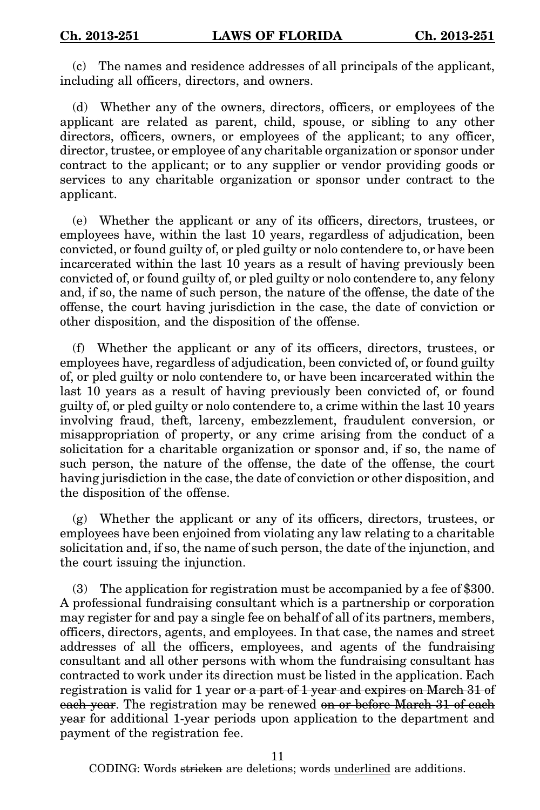(c) The names and residence addresses of all principals of the applicant, including all officers, directors, and owners.

(d) Whether any of the owners, directors, officers, or employees of the applicant are related as parent, child, spouse, or sibling to any other directors, officers, owners, or employees of the applicant; to any officer, director, trustee, or employee of any charitable organization or sponsor under contract to the applicant; or to any supplier or vendor providing goods or services to any charitable organization or sponsor under contract to the applicant.

(e) Whether the applicant or any of its officers, directors, trustees, or employees have, within the last 10 years, regardless of adjudication, been convicted, or found guilty of, or pled guilty or nolo contendere to, or have been incarcerated within the last 10 years as a result of having previously been convicted of, or found guilty of, or pled guilty or nolo contendere to, any felony and, if so, the name of such person, the nature of the offense, the date of the offense, the court having jurisdiction in the case, the date of conviction or other disposition, and the disposition of the offense.

(f) Whether the applicant or any of its officers, directors, trustees, or employees have, regardless of adjudication, been convicted of, or found guilty of, or pled guilty or nolo contendere to, or have been incarcerated within the last 10 years as a result of having previously been convicted of, or found guilty of, or pled guilty or nolo contendere to, a crime within the last 10 years involving fraud, theft, larceny, embezzlement, fraudulent conversion, or misappropriation of property, or any crime arising from the conduct of a solicitation for a charitable organization or sponsor and, if so, the name of such person, the nature of the offense, the date of the offense, the court having jurisdiction in the case, the date of conviction or other disposition, and the disposition of the offense.

(g) Whether the applicant or any of its officers, directors, trustees, or employees have been enjoined from violating any law relating to a charitable solicitation and, if so, the name of such person, the date of the injunction, and the court issuing the injunction.

(3) The application for registration must be accompanied by a fee of \$300. A professional fundraising consultant which is a partnership or corporation may register for and pay a single fee on behalf of all of its partners, members, officers, directors, agents, and employees. In that case, the names and street addresses of all the officers, employees, and agents of the fundraising consultant and all other persons with whom the fundraising consultant has contracted to work under its direction must be listed in the application. Each registration is valid for 1 year or a part of 1 year and expires on March 31 of each year. The registration may be renewed on or before March 31 of each year for additional 1-year periods upon application to the department and payment of the registration fee.

11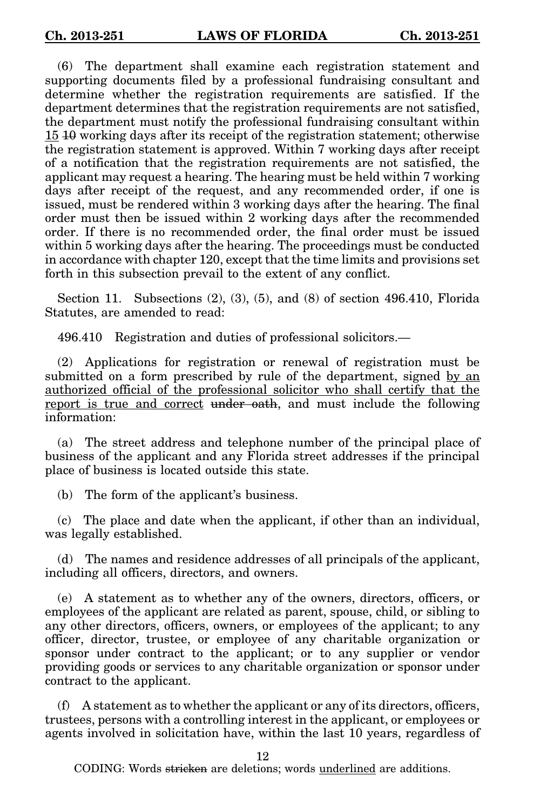(6) The department shall examine each registration statement and supporting documents filed by a professional fundraising consultant and determine whether the registration requirements are satisfied. If the department determines that the registration requirements are not satisfied, the department must notify the professional fundraising consultant within 15 10 working days after its receipt of the registration statement; otherwise the registration statement is approved. Within 7 working days after receipt of a notification that the registration requirements are not satisfied, the applicant may request a hearing. The hearing must be held within 7 working days after receipt of the request, and any recommended order, if one is issued, must be rendered within 3 working days after the hearing. The final order must then be issued within 2 working days after the recommended order. If there is no recommended order, the final order must be issued within 5 working days after the hearing. The proceedings must be conducted in accordance with chapter 120, except that the time limits and provisions set forth in this subsection prevail to the extent of any conflict.

Section 11. Subsections (2), (3), (5), and (8) of section 496.410, Florida Statutes, are amended to read:

496.410 Registration and duties of professional solicitors.—

(2) Applications for registration or renewal of registration must be submitted on a form prescribed by rule of the department, signed by an authorized official of the professional solicitor who shall certify that the report is true and correct under oath, and must include the following information:

(a) The street address and telephone number of the principal place of business of the applicant and any Florida street addresses if the principal place of business is located outside this state.

(b) The form of the applicant's business.

(c) The place and date when the applicant, if other than an individual, was legally established.

(d) The names and residence addresses of all principals of the applicant, including all officers, directors, and owners.

(e) A statement as to whether any of the owners, directors, officers, or employees of the applicant are related as parent, spouse, child, or sibling to any other directors, officers, owners, or employees of the applicant; to any officer, director, trustee, or employee of any charitable organization or sponsor under contract to the applicant; or to any supplier or vendor providing goods or services to any charitable organization or sponsor under contract to the applicant.

(f) A statement as to whether the applicant or any of its directors, officers, trustees, persons with a controlling interest in the applicant, or employees or agents involved in solicitation have, within the last 10 years, regardless of

12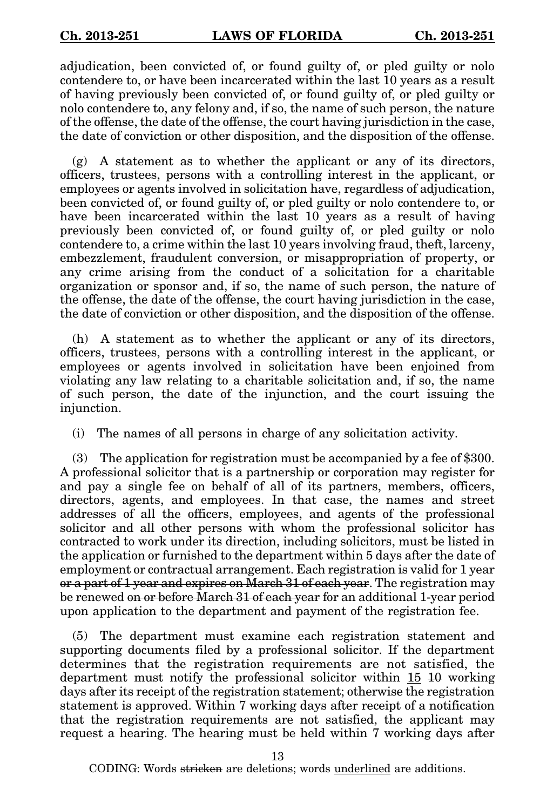adjudication, been convicted of, or found guilty of, or pled guilty or nolo contendere to, or have been incarcerated within the last 10 years as a result of having previously been convicted of, or found guilty of, or pled guilty or nolo contendere to, any felony and, if so, the name of such person, the nature of the offense, the date of the offense, the court having jurisdiction in the case, the date of conviction or other disposition, and the disposition of the offense.

 $(g)$  A statement as to whether the applicant or any of its directors, officers, trustees, persons with a controlling interest in the applicant, or employees or agents involved in solicitation have, regardless of adjudication, been convicted of, or found guilty of, or pled guilty or nolo contendere to, or have been incarcerated within the last 10 years as a result of having previously been convicted of, or found guilty of, or pled guilty or nolo contendere to, a crime within the last 10 years involving fraud, theft, larceny, embezzlement, fraudulent conversion, or misappropriation of property, or any crime arising from the conduct of a solicitation for a charitable organization or sponsor and, if so, the name of such person, the nature of the offense, the date of the offense, the court having jurisdiction in the case, the date of conviction or other disposition, and the disposition of the offense.

(h) A statement as to whether the applicant or any of its directors, officers, trustees, persons with a controlling interest in the applicant, or employees or agents involved in solicitation have been enjoined from violating any law relating to a charitable solicitation and, if so, the name of such person, the date of the injunction, and the court issuing the injunction.

(i) The names of all persons in charge of any solicitation activity.

(3) The application for registration must be accompanied by a fee of \$300. A professional solicitor that is a partnership or corporation may register for and pay a single fee on behalf of all of its partners, members, officers, directors, agents, and employees. In that case, the names and street addresses of all the officers, employees, and agents of the professional solicitor and all other persons with whom the professional solicitor has contracted to work under its direction, including solicitors, must be listed in the application or furnished to the department within 5 days after the date of employment or contractual arrangement. Each registration is valid for 1 year or a part of 1 year and expires on March 31 of each year. The registration may be renewed on or before March 31 of each year for an additional 1-year period upon application to the department and payment of the registration fee.

(5) The department must examine each registration statement and supporting documents filed by a professional solicitor. If the department determines that the registration requirements are not satisfied, the department must notify the professional solicitor within 15 10 working days after its receipt of the registration statement; otherwise the registration statement is approved. Within 7 working days after receipt of a notification that the registration requirements are not satisfied, the applicant may request a hearing. The hearing must be held within 7 working days after

13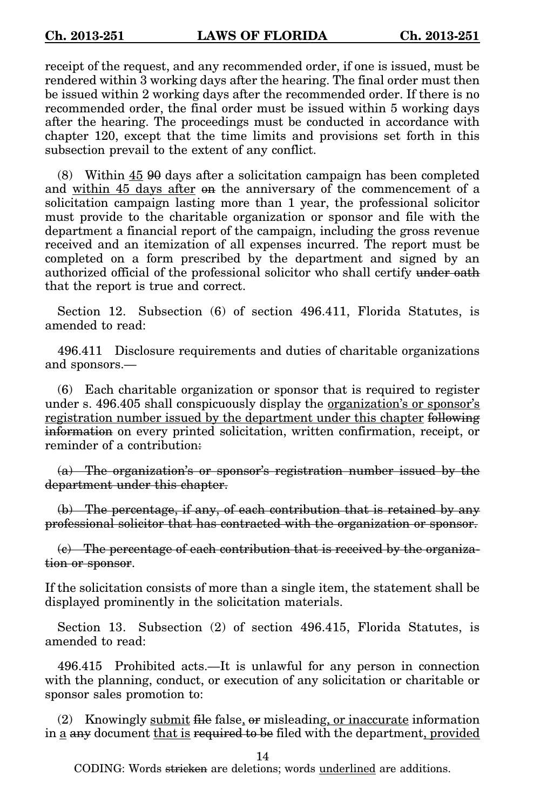receipt of the request, and any recommended order, if one is issued, must be rendered within 3 working days after the hearing. The final order must then be issued within 2 working days after the recommended order. If there is no recommended order, the final order must be issued within 5 working days after the hearing. The proceedings must be conducted in accordance with chapter 120, except that the time limits and provisions set forth in this subsection prevail to the extent of any conflict.

(8) Within 45 90 days after a solicitation campaign has been completed and within 45 days after on the anniversary of the commencement of a solicitation campaign lasting more than 1 year, the professional solicitor must provide to the charitable organization or sponsor and file with the department a financial report of the campaign, including the gross revenue received and an itemization of all expenses incurred. The report must be completed on a form prescribed by the department and signed by an authorized official of the professional solicitor who shall certify under oath that the report is true and correct.

Section 12. Subsection (6) of section 496.411, Florida Statutes, is amended to read:

496.411 Disclosure requirements and duties of charitable organizations and sponsors.—

(6) Each charitable organization or sponsor that is required to register under s. 496.405 shall conspicuously display the organization's or sponsor's registration number issued by the department under this chapter following information on every printed solicitation, written confirmation, receipt, or reminder of a contribution:

(a) The organization's or sponsor's registration number issued by the department under this chapter.

(b) The percentage, if any, of each contribution that is retained by any professional solicitor that has contracted with the organization or sponsor.

(c) The percentage of each contribution that is received by the organization or sponsor.

If the solicitation consists of more than a single item, the statement shall be displayed prominently in the solicitation materials.

Section 13. Subsection (2) of section 496.415, Florida Statutes, is amended to read:

496.415 Prohibited acts.—It is unlawful for any person in connection with the planning, conduct, or execution of any solicitation or charitable or sponsor sales promotion to:

(2) Knowingly submit file false,  $\sigma$ r misleading, or inaccurate information in a any document that is required to be filed with the department, provided

14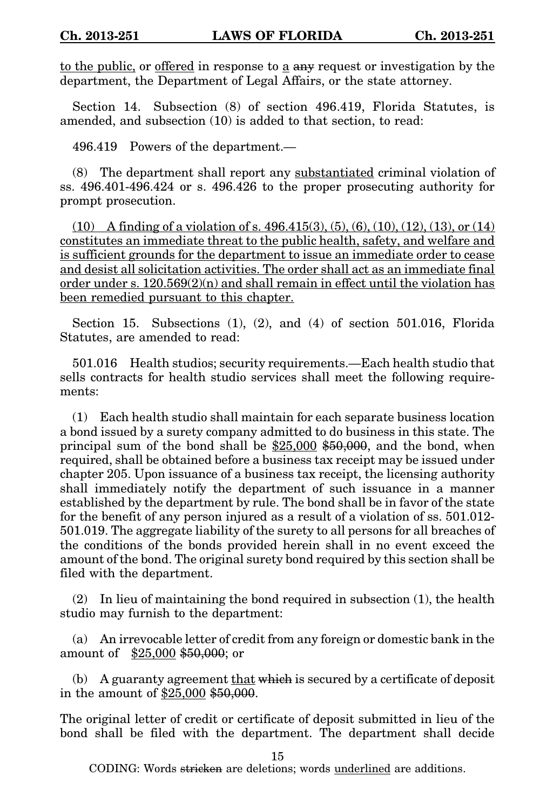to the public, or offerred in response to  $\underline{a}$  any request or investigation by the department, the Department of Legal Affairs, or the state attorney.

Section 14. Subsection (8) of section 496.419, Florida Statutes, is amended, and subsection (10) is added to that section, to read:

496.419 Powers of the department.—

(8) The department shall report any substantiated criminal violation of ss. 496.401-496.424 or s. 496.426 to the proper prosecuting authority for prompt prosecution.

 $(10)$  A finding of a violation of s. 496.415(3), (5), (6), (10), (12), (13), or (14) constitutes an immediate threat to the public health, safety, and welfare and is sufficient grounds for the department to issue an immediate order to cease and desist all solicitation activities. The order shall act as an immediate final order under s.  $120.569(2)(n)$  and shall remain in effect until the violation has been remedied pursuant to this chapter.

Section 15. Subsections (1), (2), and (4) of section 501.016, Florida Statutes, are amended to read:

501.016 Health studios; security requirements.—Each health studio that sells contracts for health studio services shall meet the following requirements:

(1) Each health studio shall maintain for each separate business location a bond issued by a surety company admitted to do business in this state. The principal sum of the bond shall be \$25,000 \$50,000, and the bond, when required, shall be obtained before a business tax receipt may be issued under chapter 205. Upon issuance of a business tax receipt, the licensing authority shall immediately notify the department of such issuance in a manner established by the department by rule. The bond shall be in favor of the state for the benefit of any person injured as a result of a violation of ss. 501.012- 501.019. The aggregate liability of the surety to all persons for all breaches of the conditions of the bonds provided herein shall in no event exceed the amount of the bond. The original surety bond required by this section shall be filed with the department.

(2) In lieu of maintaining the bond required in subsection (1), the health studio may furnish to the department:

(a) An irrevocable letter of credit from any foreign or domestic bank in the amount of \$25,000 \$50,000; or

(b) A guaranty agreement that which is secured by a certificate of deposit in the amount of \$25,000 \$50,000.

The original letter of credit or certificate of deposit submitted in lieu of the bond shall be filed with the department. The department shall decide

15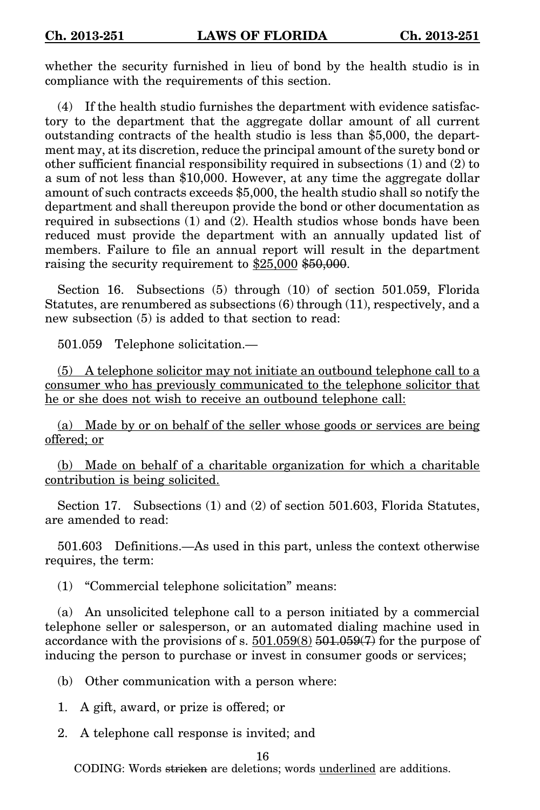whether the security furnished in lieu of bond by the health studio is in compliance with the requirements of this section.

(4) If the health studio furnishes the department with evidence satisfactory to the department that the aggregate dollar amount of all current outstanding contracts of the health studio is less than \$5,000, the department may, at its discretion, reduce the principal amount of the surety bond or other sufficient financial responsibility required in subsections (1) and (2) to a sum of not less than \$10,000. However, at any time the aggregate dollar amount of such contracts exceeds \$5,000, the health studio shall so notify the department and shall thereupon provide the bond or other documentation as required in subsections (1) and (2). Health studios whose bonds have been reduced must provide the department with an annually updated list of members. Failure to file an annual report will result in the department raising the security requirement to \$25,000 \$50,000.

Section 16. Subsections (5) through (10) of section 501.059, Florida Statutes, are renumbered as subsections (6) through (11), respectively, and a new subsection (5) is added to that section to read:

501.059 Telephone solicitation.—

(5) A telephone solicitor may not initiate an outbound telephone call to a consumer who has previously communicated to the telephone solicitor that he or she does not wish to receive an outbound telephone call:

(a) Made by or on behalf of the seller whose goods or services are being offered; or

(b) Made on behalf of a charitable organization for which a charitable contribution is being solicited.

Section 17. Subsections (1) and (2) of section 501.603, Florida Statutes, are amended to read:

501.603 Definitions.—As used in this part, unless the context otherwise requires, the term:

(1) "Commercial telephone solicitation" means:

(a) An unsolicited telephone call to a person initiated by a commercial telephone seller or salesperson, or an automated dialing machine used in accordance with the provisions of s.  $501.059(8)$   $\overline{501.059(7)}$  for the purpose of inducing the person to purchase or invest in consumer goods or services;

(b) Other communication with a person where:

1. A gift, award, or prize is offered; or

2. A telephone call response is invited; and

## 16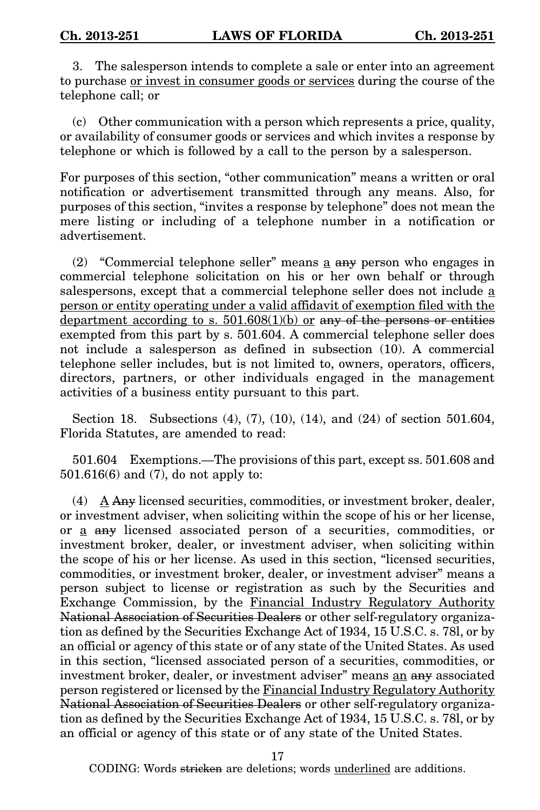3. The salesperson intends to complete a sale or enter into an agreement to purchase or invest in consumer goods or services during the course of the telephone call; or

(c) Other communication with a person which represents a price, quality, or availability of consumer goods or services and which invites a response by telephone or which is followed by a call to the person by a salesperson.

For purposes of this section, "other communication" means a written or oral notification or advertisement transmitted through any means. Also, for purposes of this section, "invites a response by telephone" does not mean the mere listing or including of a telephone number in a notification or advertisement.

(2) "Commercial telephone seller" means a any person who engages in commercial telephone solicitation on his or her own behalf or through salespersons, except that a commercial telephone seller does not include a person or entity operating under a valid affidavit of exemption filed with the department according to s.  $501.608(1)(b)$  or any of the persons or entities exempted from this part by s. 501.604. A commercial telephone seller does not include a salesperson as defined in subsection (10). A commercial telephone seller includes, but is not limited to, owners, operators, officers, directors, partners, or other individuals engaged in the management activities of a business entity pursuant to this part.

Section 18. Subsections (4), (7), (10), (14), and (24) of section 501.604, Florida Statutes, are amended to read:

501.604 Exemptions.—The provisions of this part, except ss. 501.608 and 501.616(6) and (7), do not apply to:

(4) A Any licensed securities, commodities, or investment broker, dealer, or investment adviser, when soliciting within the scope of his or her license, or a any licensed associated person of a securities, commodities, or investment broker, dealer, or investment adviser, when soliciting within the scope of his or her license. As used in this section, "licensed securities, commodities, or investment broker, dealer, or investment adviser" means a person subject to license or registration as such by the Securities and Exchange Commission, by the Financial Industry Regulatory Authority National Association of Securities Dealers or other self-regulatory organization as defined by the Securities Exchange Act of 1934, 15 U.S.C. s. 78l, or by an official or agency of this state or of any state of the United States. As used in this section, "licensed associated person of a securities, commodities, or investment broker, dealer, or investment adviser" means an any associated person registered or licensed by the Financial Industry Regulatory Authority National Association of Securities Dealers or other self-regulatory organization as defined by the Securities Exchange Act of 1934, 15 U.S.C. s. 78l, or by an official or agency of this state or of any state of the United States.

17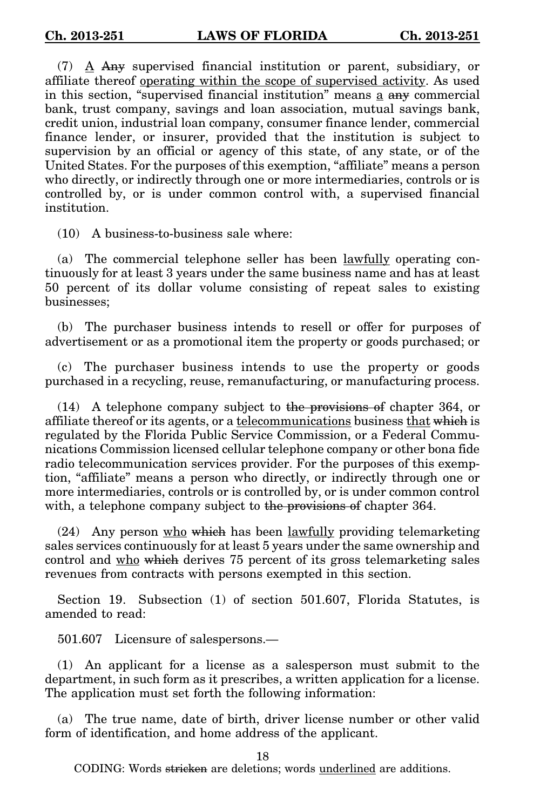(7) A Any supervised financial institution or parent, subsidiary, or affiliate thereof operating within the scope of supervised activity. As used in this section, "supervised financial institution" means a any commercial bank, trust company, savings and loan association, mutual savings bank, credit union, industrial loan company, consumer finance lender, commercial finance lender, or insurer, provided that the institution is subject to supervision by an official or agency of this state, of any state, or of the United States. For the purposes of this exemption, "affiliate" means a person who directly, or indirectly through one or more intermediaries, controls or is controlled by, or is under common control with, a supervised financial institution.

(10) A business-to-business sale where:

(a) The commercial telephone seller has been lawfully operating continuously for at least 3 years under the same business name and has at least 50 percent of its dollar volume consisting of repeat sales to existing businesses;

(b) The purchaser business intends to resell or offer for purposes of advertisement or as a promotional item the property or goods purchased; or

(c) The purchaser business intends to use the property or goods purchased in a recycling, reuse, remanufacturing, or manufacturing process.

(14) A telephone company subject to the provisions of chapter 364, or affiliate thereof or its agents, or a <u>telecommunications</u> business that which is regulated by the Florida Public Service Commission, or a Federal Communications Commission licensed cellular telephone company or other bona fide radio telecommunication services provider. For the purposes of this exemption, "affiliate" means a person who directly, or indirectly through one or more intermediaries, controls or is controlled by, or is under common control with, a telephone company subject to the provisions of chapter 364.

 $(24)$  Any person who which has been lawfully providing telemarketing sales services continuously for at least 5 years under the same ownership and control and who which derives 75 percent of its gross telemarketing sales revenues from contracts with persons exempted in this section.

Section 19. Subsection (1) of section 501.607, Florida Statutes, is amended to read:

501.607 Licensure of salespersons.—

(1) An applicant for a license as a salesperson must submit to the department, in such form as it prescribes, a written application for a license. The application must set forth the following information:

(a) The true name, date of birth, driver license number or other valid form of identification, and home address of the applicant.

18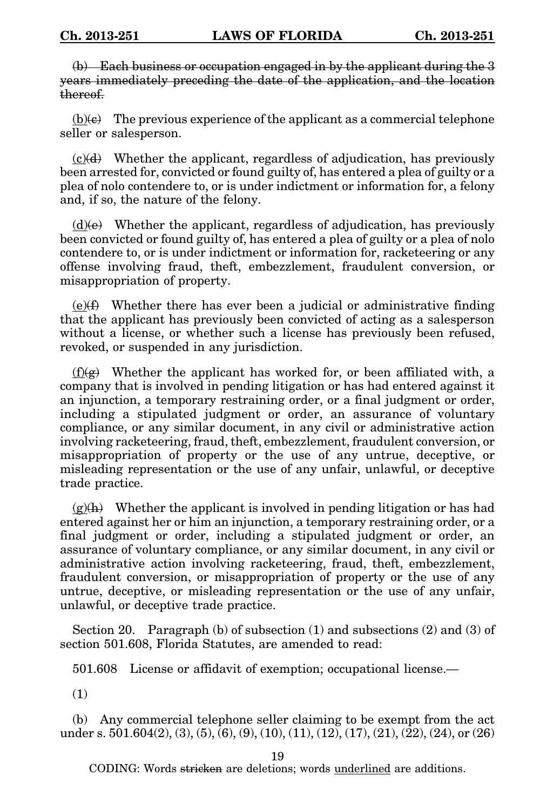(b) Each business or occupation engaged in by the applicant during the 3 years immediately preceding the date of the application, and the location thereof.

 $(b)(e)$  The previous experience of the applicant as a commercial telephone seller or salesperson.

 $(c)(d)$  Whether the applicant, regardless of adjudication, has previously been arrested for, convicted or found guilty of, has entered a plea of guilty or a plea of nolo contendere to, or is under indictment or information for, a felony and, if so, the nature of the felony.

 $(d)$ (e) Whether the applicant, regardless of adjudication, has previously been convicted or found guilty of, has entered a plea of guilty or a plea of nolo contendere to, or is under indictment or information for, racketeering or any offense involving fraud, theft, embezzlement, fraudulent conversion, or misappropriation of property.

 $(e)$ ( $\angle$ ) Whether there has ever been a judicial or administrative finding that the applicant has previously been convicted of acting as a salesperson without a license, or whether such a license has previously been refused, revoked, or suspended in any jurisdiction.

 $(f)(g)$  Whether the applicant has worked for, or been affiliated with, a company that is involved in pending litigation or has had entered against it an injunction, a temporary restraining order, or a final judgment or order, including a stipulated judgment or order, an assurance of voluntary compliance, or any similar document, in any civil or administrative action involving racketeering, fraud, theft, embezzlement, fraudulent conversion, or misappropriation of property or the use of any untrue, deceptive, or misleading representation or the use of any unfair, unlawful, or deceptive trade practice.

 $(g)(h)$  Whether the applicant is involved in pending litigation or has had entered against her or him an injunction, a temporary restraining order, or a final judgment or order, including a stipulated judgment or order, an assurance of voluntary compliance, or any similar document, in any civil or administrative action involving racketeering, fraud, theft, embezzlement, fraudulent conversion, or misappropriation of property or the use of any untrue, deceptive, or misleading representation or the use of any unfair, unlawful, or deceptive trade practice.

Section 20. Paragraph (b) of subsection  $(1)$  and subsections  $(2)$  and  $(3)$  of section 501.608, Florida Statutes, are amended to read:

501.608 License or affidavit of exemption; occupational license.—

(1)

(b) Any commercial telephone seller claiming to be exempt from the act under s. 501.604(2), (3), (5), (6), (9), (10), (11), (12), (17), (21), (22), (24), or (26)

19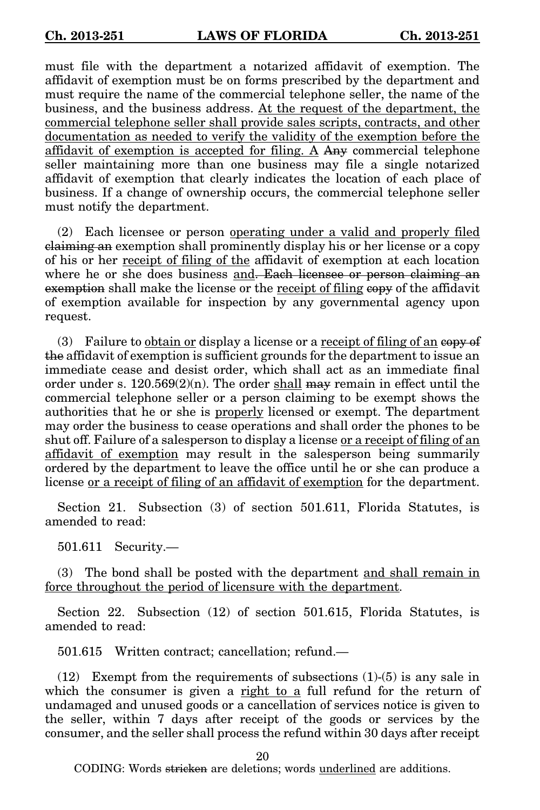must file with the department a notarized affidavit of exemption. The affidavit of exemption must be on forms prescribed by the department and must require the name of the commercial telephone seller, the name of the business, and the business address. At the request of the department, the commercial telephone seller shall provide sales scripts, contracts, and other documentation as needed to verify the validity of the exemption before the affidavit of exemption is accepted for filing. A Any commercial telephone seller maintaining more than one business may file a single notarized affidavit of exemption that clearly indicates the location of each place of business. If a change of ownership occurs, the commercial telephone seller must notify the department.

(2) Each licensee or person operating under a valid and properly filed claiming an exemption shall prominently display his or her license or a copy of his or her receipt of filing of the affidavit of exemption at each location where he or she does business and. Each licensee or person claiming an exemption shall make the license or the receipt of filing copy of the affidavit of exemption available for inspection by any governmental agency upon request.

(3) Failure to obtain or display a license or a receipt of filing of an expected  $(3)$ the affidavit of exemption is sufficient grounds for the department to issue an immediate cease and desist order, which shall act as an immediate final order under s.  $120.569(2)(n)$ . The order shall may remain in effect until the commercial telephone seller or a person claiming to be exempt shows the authorities that he or she is properly licensed or exempt. The department may order the business to cease operations and shall order the phones to be shut off. Failure of a salesperson to display a license or a receipt of filing of an affidavit of exemption may result in the salesperson being summarily ordered by the department to leave the office until he or she can produce a license or a receipt of filing of an affidavit of exemption for the department.

Section 21. Subsection (3) of section 501.611, Florida Statutes, is amended to read:

501.611 Security.—

(3) The bond shall be posted with the department and shall remain in force throughout the period of licensure with the department.

Section 22. Subsection (12) of section 501.615, Florida Statutes, is amended to read:

501.615 Written contract; cancellation; refund.—

 $(12)$  Exempt from the requirements of subsections  $(1)-(5)$  is any sale in which the consumer is given a right to a full refund for the return of undamaged and unused goods or a cancellation of services notice is given to the seller, within 7 days after receipt of the goods or services by the consumer, and the seller shall process the refund within 30 days after receipt

20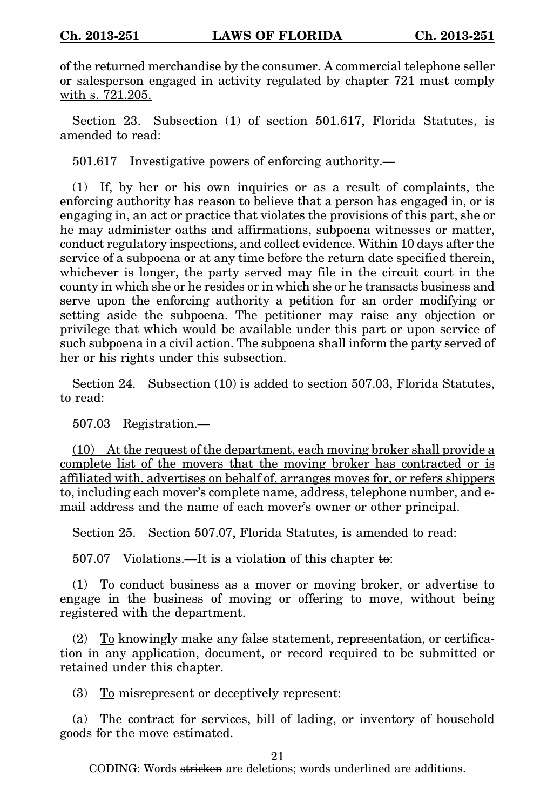of the returned merchandise by the consumer. A commercial telephone seller or salesperson engaged in activity regulated by chapter 721 must comply with s. 721.205.

Section 23. Subsection (1) of section 501.617, Florida Statutes, is amended to read:

501.617 Investigative powers of enforcing authority.—

(1) If, by her or his own inquiries or as a result of complaints, the enforcing authority has reason to believe that a person has engaged in, or is engaging in, an act or practice that violates the provisions of this part, she or he may administer oaths and affirmations, subpoena witnesses or matter, conduct regulatory inspections, and collect evidence. Within 10 days after the service of a subpoena or at any time before the return date specified therein, whichever is longer, the party served may file in the circuit court in the county in which she or he resides or in which she or he transacts business and serve upon the enforcing authority a petition for an order modifying or setting aside the subpoena. The petitioner may raise any objection or privilege that which would be available under this part or upon service of such subpoena in a civil action. The subpoena shall inform the party served of her or his rights under this subsection.

Section 24. Subsection (10) is added to section 507.03, Florida Statutes, to read:

507.03 Registration.—

(10) At the request of the department, each moving broker shall provide a complete list of the movers that the moving broker has contracted or is affiliated with, advertises on behalf of, arranges moves for, or refers shippers to, including each mover's complete name, address, telephone number, and email address and the name of each mover's owner or other principal.

Section 25. Section 507.07, Florida Statutes, is amended to read:

507.07 Violations.—It is a violation of this chapter to:

(1) To conduct business as a mover or moving broker, or advertise to engage in the business of moving or offering to move, without being registered with the department.

(2) To knowingly make any false statement, representation, or certification in any application, document, or record required to be submitted or retained under this chapter.

(3) To misrepresent or deceptively represent:

(a) The contract for services, bill of lading, or inventory of household goods for the move estimated.

21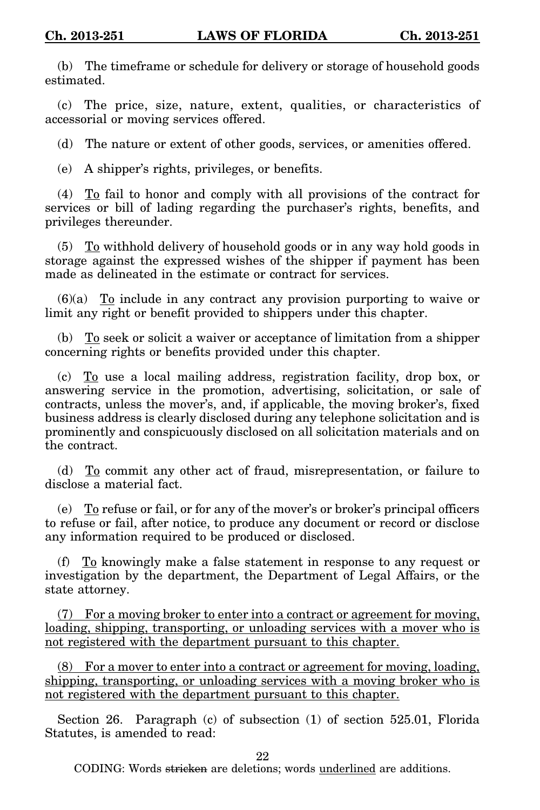(b) The timeframe or schedule for delivery or storage of household goods estimated.

(c) The price, size, nature, extent, qualities, or characteristics of accessorial or moving services offered.

(d) The nature or extent of other goods, services, or amenities offered.

(e) A shipper's rights, privileges, or benefits.

 $(4)$  To fail to honor and comply with all provisions of the contract for services or bill of lading regarding the purchaser's rights, benefits, and privileges thereunder.

 $(5)$  To withhold delivery of household goods or in any way hold goods in storage against the expressed wishes of the shipper if payment has been made as delineated in the estimate or contract for services.

 $(6)(a)$  To include in any contract any provision purporting to waive or limit any right or benefit provided to shippers under this chapter.

(b) To seek or solicit a waiver or acceptance of limitation from a shipper concerning rights or benefits provided under this chapter.

(c) To use a local mailing address, registration facility, drop box, or answering service in the promotion, advertising, solicitation, or sale of contracts, unless the mover's, and, if applicable, the moving broker's, fixed business address is clearly disclosed during any telephone solicitation and is prominently and conspicuously disclosed on all solicitation materials and on the contract.

(d) To commit any other act of fraud, misrepresentation, or failure to disclose a material fact.

(e) To refuse or fail, or for any of the mover's or broker's principal officers to refuse or fail, after notice, to produce any document or record or disclose any information required to be produced or disclosed.

(f) To knowingly make a false statement in response to any request or investigation by the department, the Department of Legal Affairs, or the state attorney.

(7) For a moving broker to enter into a contract or agreement for moving, loading, shipping, transporting, or unloading services with a mover who is not registered with the department pursuant to this chapter.

(8) For a mover to enter into a contract or agreement for moving, loading, shipping, transporting, or unloading services with a moving broker who is not registered with the department pursuant to this chapter.

Section 26. Paragraph (c) of subsection (1) of section 525.01, Florida Statutes, is amended to read:

22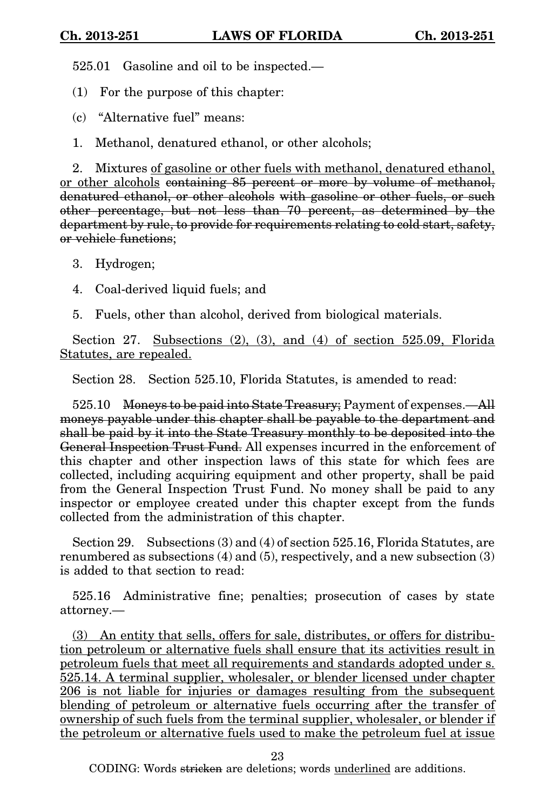525.01 Gasoline and oil to be inspected.—

(1) For the purpose of this chapter:

(c) "Alternative fuel" means:

1. Methanol, denatured ethanol, or other alcohols;

2. Mixtures of gasoline or other fuels with methanol, denatured ethanol, or other alcohols containing 85 percent or more by volume of methanol, denatured ethanol, or other alcohols with gasoline or other fuels, or such other percentage, but not less than 70 percent, as determined by the department by rule, to provide for requirements relating to cold start, safety, or vehicle functions;

- 3. Hydrogen;
- 4. Coal-derived liquid fuels; and
- 5. Fuels, other than alcohol, derived from biological materials.

Section 27. Subsections (2), (3), and (4) of section 525.09, Florida Statutes, are repealed.

Section 28. Section 525.10, Florida Statutes, is amended to read:

525.10 Moneys to be paid into State Treasury; Payment of expenses.—All moneys payable under this chapter shall be payable to the department and shall be paid by it into the State Treasury monthly to be deposited into the General Inspection Trust Fund. All expenses incurred in the enforcement of this chapter and other inspection laws of this state for which fees are collected, including acquiring equipment and other property, shall be paid from the General Inspection Trust Fund. No money shall be paid to any inspector or employee created under this chapter except from the funds collected from the administration of this chapter.

Section 29. Subsections (3) and (4) of section 525.16, Florida Statutes, are renumbered as subsections (4) and (5), respectively, and a new subsection (3) is added to that section to read:

525.16 Administrative fine; penalties; prosecution of cases by state attorney.—

(3) An entity that sells, offers for sale, distributes, or offers for distribution petroleum or alternative fuels shall ensure that its activities result in petroleum fuels that meet all requirements and standards adopted under s. 525.14. A terminal supplier, wholesaler, or blender licensed under chapter 206 is not liable for injuries or damages resulting from the subsequent blending of petroleum or alternative fuels occurring after the transfer of ownership of such fuels from the terminal supplier, wholesaler, or blender if the petroleum or alternative fuels used to make the petroleum fuel at issue

23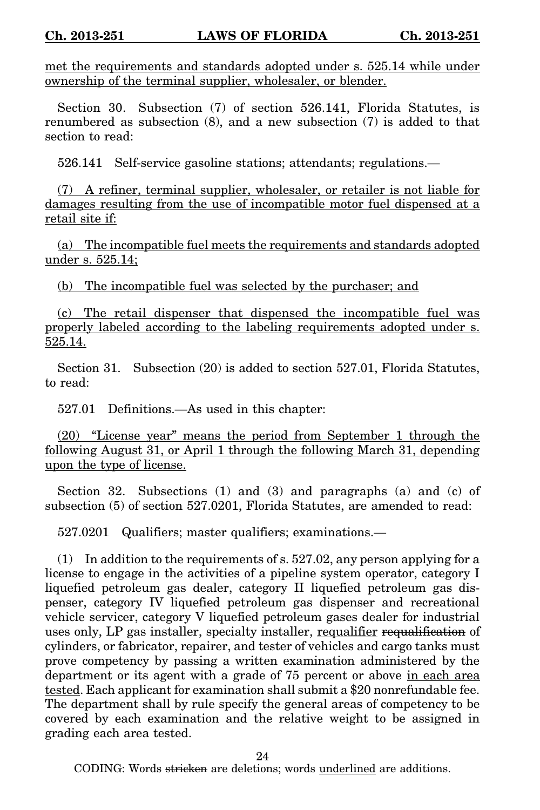met the requirements and standards adopted under s. 525.14 while under ownership of the terminal supplier, wholesaler, or blender.

Section 30. Subsection (7) of section 526.141, Florida Statutes, is renumbered as subsection (8), and a new subsection (7) is added to that section to read:

526.141 Self-service gasoline stations; attendants; regulations.—

(7) A refiner, terminal supplier, wholesaler, or retailer is not liable for damages resulting from the use of incompatible motor fuel dispensed at a retail site if:

(a) The incompatible fuel meets the requirements and standards adopted under s. 525.14;

(b) The incompatible fuel was selected by the purchaser; and

(c) The retail dispenser that dispensed the incompatible fuel was properly labeled according to the labeling requirements adopted under s. 525.14.

Section 31. Subsection (20) is added to section 527.01, Florida Statutes, to read:

527.01 Definitions.—As used in this chapter:

(20) "License year" means the period from September 1 through the following August 31, or April 1 through the following March 31, depending upon the type of license.

Section 32. Subsections (1) and (3) and paragraphs (a) and (c) of subsection (5) of section 527.0201, Florida Statutes, are amended to read:

527.0201 Qualifiers; master qualifiers; examinations.—

(1) In addition to the requirements of s. 527.02, any person applying for a license to engage in the activities of a pipeline system operator, category I liquefied petroleum gas dealer, category II liquefied petroleum gas dispenser, category IV liquefied petroleum gas dispenser and recreational vehicle servicer, category V liquefied petroleum gases dealer for industrial uses only, LP gas installer, specialty installer, requalifier requalification of cylinders, or fabricator, repairer, and tester of vehicles and cargo tanks must prove competency by passing a written examination administered by the department or its agent with a grade of 75 percent or above in each area tested. Each applicant for examination shall submit a \$20 nonrefundable fee. The department shall by rule specify the general areas of competency to be covered by each examination and the relative weight to be assigned in grading each area tested.

24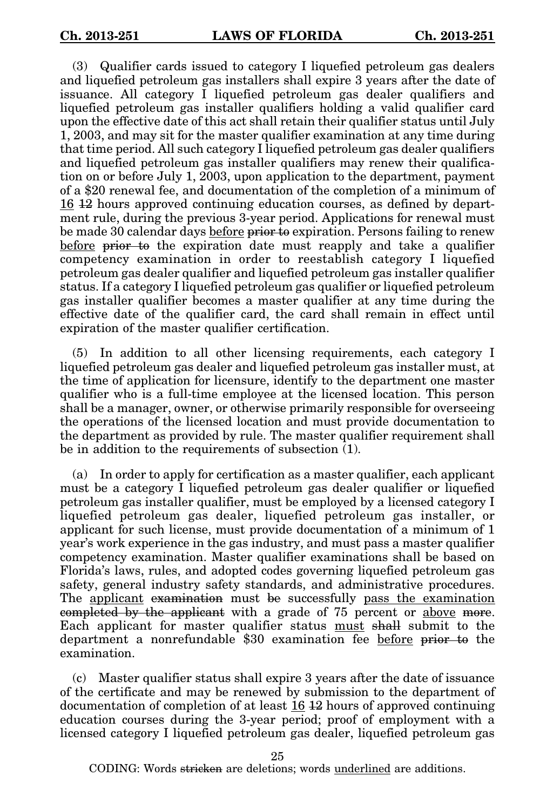(3) Qualifier cards issued to category I liquefied petroleum gas dealers and liquefied petroleum gas installers shall expire 3 years after the date of issuance. All category I liquefied petroleum gas dealer qualifiers and liquefied petroleum gas installer qualifiers holding a valid qualifier card upon the effective date of this act shall retain their qualifier status until July 1, 2003, and may sit for the master qualifier examination at any time during that time period. All such category I liquefied petroleum gas dealer qualifiers and liquefied petroleum gas installer qualifiers may renew their qualification on or before July 1, 2003, upon application to the department, payment of a \$20 renewal fee, and documentation of the completion of a minimum of 16 12 hours approved continuing education courses, as defined by department rule, during the previous 3-year period. Applications for renewal must be made 30 calendar days before prior to expiration. Persons failing to renew before prior to the expiration date must reapply and take a qualifier competency examination in order to reestablish category I liquefied petroleum gas dealer qualifier and liquefied petroleum gas installer qualifier status. If a category I liquefied petroleum gas qualifier or liquefied petroleum gas installer qualifier becomes a master qualifier at any time during the effective date of the qualifier card, the card shall remain in effect until expiration of the master qualifier certification.

(5) In addition to all other licensing requirements, each category I liquefied petroleum gas dealer and liquefied petroleum gas installer must, at the time of application for licensure, identify to the department one master qualifier who is a full-time employee at the licensed location. This person shall be a manager, owner, or otherwise primarily responsible for overseeing the operations of the licensed location and must provide documentation to the department as provided by rule. The master qualifier requirement shall be in addition to the requirements of subsection (1).

(a) In order to apply for certification as a master qualifier, each applicant must be a category I liquefied petroleum gas dealer qualifier or liquefied petroleum gas installer qualifier, must be employed by a licensed category I liquefied petroleum gas dealer, liquefied petroleum gas installer, or applicant for such license, must provide documentation of a minimum of 1 year's work experience in the gas industry, and must pass a master qualifier competency examination. Master qualifier examinations shall be based on Florida's laws, rules, and adopted codes governing liquefied petroleum gas safety, general industry safety standards, and administrative procedures. The applicant examination must be successfully pass the examination completed by the applicant with a grade of 75 percent or above more. Each applicant for master qualifier status must shall submit to the department a nonrefundable \$30 examination fee before prior to the examination.

(c) Master qualifier status shall expire 3 years after the date of issuance of the certificate and may be renewed by submission to the department of documentation of completion of at least 16 12 hours of approved continuing education courses during the 3-year period; proof of employment with a licensed category I liquefied petroleum gas dealer, liquefied petroleum gas

25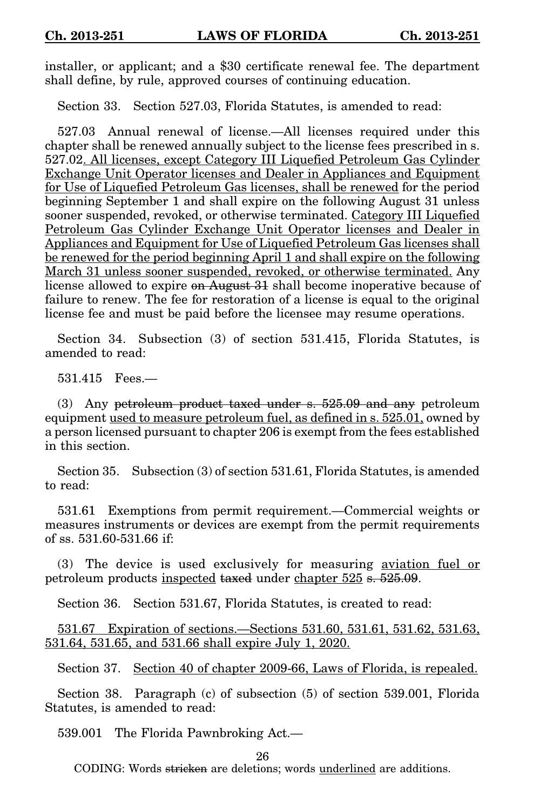installer, or applicant; and a \$30 certificate renewal fee. The department shall define, by rule, approved courses of continuing education.

Section 33. Section 527.03, Florida Statutes, is amended to read:

527.03 Annual renewal of license.—All licenses required under this chapter shall be renewed annually subject to the license fees prescribed in s. 527.02. All licenses, except Category III Liquefied Petroleum Gas Cylinder Exchange Unit Operator licenses and Dealer in Appliances and Equipment for Use of Liquefied Petroleum Gas licenses, shall be renewed for the period beginning September 1 and shall expire on the following August 31 unless sooner suspended, revoked, or otherwise terminated. Category III Liquefied Petroleum Gas Cylinder Exchange Unit Operator licenses and Dealer in Appliances and Equipment for Use of Liquefied Petroleum Gas licenses shall be renewed for the period beginning April 1 and shall expire on the following March 31 unless sooner suspended, revoked, or otherwise terminated. Any license allowed to expire on August 31 shall become inoperative because of failure to renew. The fee for restoration of a license is equal to the original license fee and must be paid before the licensee may resume operations.

Section 34. Subsection (3) of section 531.415, Florida Statutes, is amended to read:

531.415 Fees.—

(3) Any petroleum product taxed under s. 525.09 and any petroleum equipment used to measure petroleum fuel, as defined in s. 525.01, owned by a person licensed pursuant to chapter 206 is exempt from the fees established in this section.

Section 35. Subsection (3) of section 531.61, Florida Statutes, is amended to read:

531.61 Exemptions from permit requirement.—Commercial weights or measures instruments or devices are exempt from the permit requirements of ss. 531.60-531.66 if:

(3) The device is used exclusively for measuring aviation fuel or petroleum products inspected taxed under chapter 525 s. 525.09.

Section 36. Section 531.67, Florida Statutes, is created to read:

531.67 Expiration of sections.—Sections 531.60, 531.61, 531.62, 531.63, 531.64, 531.65, and 531.66 shall expire July 1, 2020.

Section 37. Section 40 of chapter 2009-66, Laws of Florida, is repealed.

Section 38. Paragraph (c) of subsection (5) of section 539.001, Florida Statutes, is amended to read:

539.001 The Florida Pawnbroking Act.—

26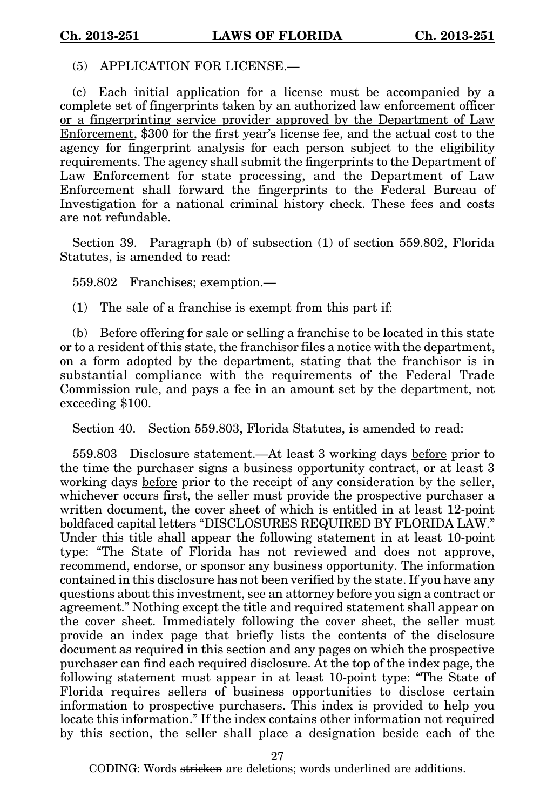(5) APPLICATION FOR LICENSE.—

(c) Each initial application for a license must be accompanied by a complete set of fingerprints taken by an authorized law enforcement officer or a fingerprinting service provider approved by the Department of Law Enforcement, \$300 for the first year's license fee, and the actual cost to the agency for fingerprint analysis for each person subject to the eligibility requirements. The agency shall submit the fingerprints to the Department of Law Enforcement for state processing, and the Department of Law Enforcement shall forward the fingerprints to the Federal Bureau of Investigation for a national criminal history check. These fees and costs are not refundable.

Section 39. Paragraph (b) of subsection (1) of section 559.802, Florida Statutes, is amended to read:

559.802 Franchises; exemption.—

(1) The sale of a franchise is exempt from this part if:

(b) Before offering for sale or selling a franchise to be located in this state or to a resident of this state, the franchisor files a notice with the department, on a form adopted by the department, stating that the franchisor is in substantial compliance with the requirements of the Federal Trade Commission rule, and pays a fee in an amount set by the department, not exceeding \$100.

Section 40. Section 559.803, Florida Statutes, is amended to read:

559.803 Disclosure statement.—At least 3 working days before prior to the time the purchaser signs a business opportunity contract, or at least 3 working days before prior to the receipt of any consideration by the seller, whichever occurs first, the seller must provide the prospective purchaser a written document, the cover sheet of which is entitled in at least 12-point boldfaced capital letters "DISCLOSURES REQUIRED BY FLORIDA LAW." Under this title shall appear the following statement in at least 10-point type: "The State of Florida has not reviewed and does not approve, recommend, endorse, or sponsor any business opportunity. The information contained in this disclosure has not been verified by the state. If you have any questions about this investment, see an attorney before you sign a contract or agreement." Nothing except the title and required statement shall appear on the cover sheet. Immediately following the cover sheet, the seller must provide an index page that briefly lists the contents of the disclosure document as required in this section and any pages on which the prospective purchaser can find each required disclosure. At the top of the index page, the following statement must appear in at least 10-point type: "The State of Florida requires sellers of business opportunities to disclose certain information to prospective purchasers. This index is provided to help you locate this information." If the index contains other information not required by this section, the seller shall place a designation beside each of the

27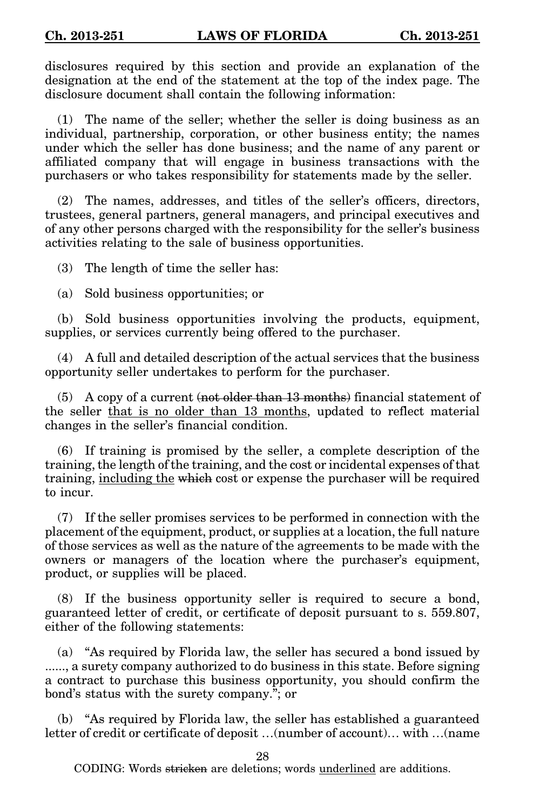disclosures required by this section and provide an explanation of the designation at the end of the statement at the top of the index page. The disclosure document shall contain the following information:

(1) The name of the seller; whether the seller is doing business as an individual, partnership, corporation, or other business entity; the names under which the seller has done business; and the name of any parent or affiliated company that will engage in business transactions with the purchasers or who takes responsibility for statements made by the seller.

(2) The names, addresses, and titles of the seller's officers, directors, trustees, general partners, general managers, and principal executives and of any other persons charged with the responsibility for the seller's business activities relating to the sale of business opportunities.

(3) The length of time the seller has:

(a) Sold business opportunities; or

(b) Sold business opportunities involving the products, equipment, supplies, or services currently being offered to the purchaser.

(4) A full and detailed description of the actual services that the business opportunity seller undertakes to perform for the purchaser.

 $(5)$  A copy of a current (not older than 13 months) financial statement of the seller that is no older than 13 months, updated to reflect material changes in the seller's financial condition.

(6) If training is promised by the seller, a complete description of the training, the length of the training, and the cost or incidental expenses of that training, including the which cost or expense the purchaser will be required to incur.

(7) If the seller promises services to be performed in connection with the placement of the equipment, product, or supplies at a location, the full nature of those services as well as the nature of the agreements to be made with the owners or managers of the location where the purchaser's equipment, product, or supplies will be placed.

(8) If the business opportunity seller is required to secure a bond, guaranteed letter of credit, or certificate of deposit pursuant to s. 559.807, either of the following statements:

(a) "As required by Florida law, the seller has secured a bond issued by ......, a surety company authorized to do business in this state. Before signing a contract to purchase this business opportunity, you should confirm the bond's status with the surety company."; or

(b) "As required by Florida law, the seller has established a guaranteed letter of credit or certificate of deposit …(number of account)… with …(name

28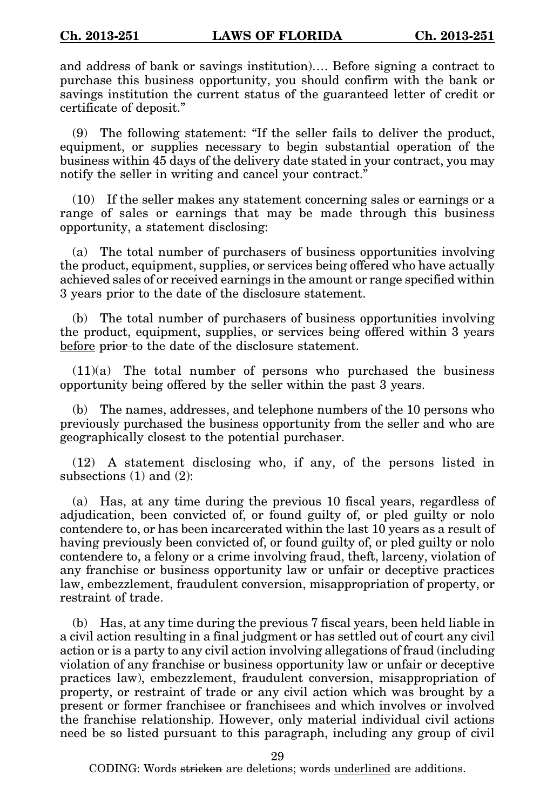and address of bank or savings institution)…. Before signing a contract to purchase this business opportunity, you should confirm with the bank or savings institution the current status of the guaranteed letter of credit or certificate of deposit."

(9) The following statement: "If the seller fails to deliver the product, equipment, or supplies necessary to begin substantial operation of the business within 45 days of the delivery date stated in your contract, you may notify the seller in writing and cancel your contract."

(10) If the seller makes any statement concerning sales or earnings or a range of sales or earnings that may be made through this business opportunity, a statement disclosing:

(a) The total number of purchasers of business opportunities involving the product, equipment, supplies, or services being offered who have actually achieved sales of or received earnings in the amount or range specified within 3 years prior to the date of the disclosure statement.

(b) The total number of purchasers of business opportunities involving the product, equipment, supplies, or services being offered within 3 years before prior to the date of the disclosure statement.

 $(11)(a)$  The total number of persons who purchased the business opportunity being offered by the seller within the past 3 years.

(b) The names, addresses, and telephone numbers of the 10 persons who previously purchased the business opportunity from the seller and who are geographically closest to the potential purchaser.

(12) A statement disclosing who, if any, of the persons listed in subsections (1) and (2):

(a) Has, at any time during the previous 10 fiscal years, regardless of adjudication, been convicted of, or found guilty of, or pled guilty or nolo contendere to, or has been incarcerated within the last 10 years as a result of having previously been convicted of, or found guilty of, or pled guilty or nolo contendere to, a felony or a crime involving fraud, theft, larceny, violation of any franchise or business opportunity law or unfair or deceptive practices law, embezzlement, fraudulent conversion, misappropriation of property, or restraint of trade.

(b) Has, at any time during the previous 7 fiscal years, been held liable in a civil action resulting in a final judgment or has settled out of court any civil action or is a party to any civil action involving allegations of fraud (including violation of any franchise or business opportunity law or unfair or deceptive practices law), embezzlement, fraudulent conversion, misappropriation of property, or restraint of trade or any civil action which was brought by a present or former franchisee or franchisees and which involves or involved the franchise relationship. However, only material individual civil actions need be so listed pursuant to this paragraph, including any group of civil

29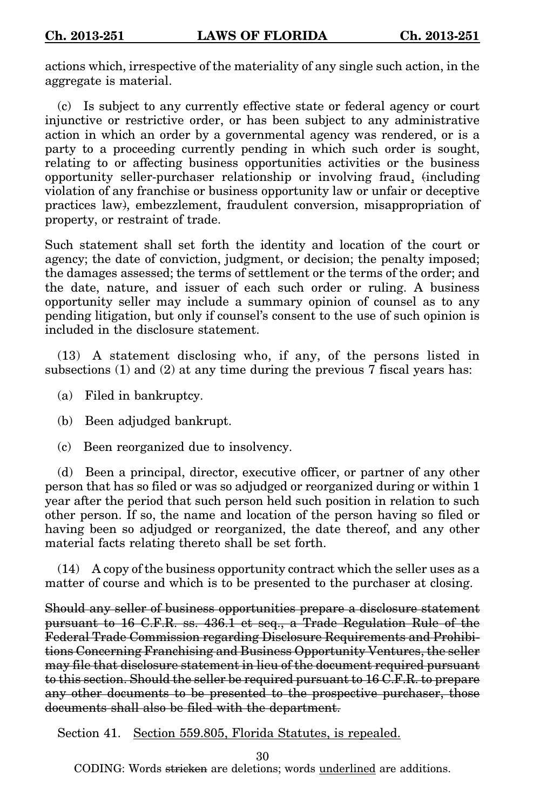actions which, irrespective of the materiality of any single such action, in the aggregate is material.

(c) Is subject to any currently effective state or federal agency or court injunctive or restrictive order, or has been subject to any administrative action in which an order by a governmental agency was rendered, or is a party to a proceeding currently pending in which such order is sought, relating to or affecting business opportunities activities or the business opportunity seller-purchaser relationship or involving fraud, (including violation of any franchise or business opportunity law or unfair or deceptive practices law), embezzlement, fraudulent conversion, misappropriation of property, or restraint of trade.

Such statement shall set forth the identity and location of the court or agency; the date of conviction, judgment, or decision; the penalty imposed; the damages assessed; the terms of settlement or the terms of the order; and the date, nature, and issuer of each such order or ruling. A business opportunity seller may include a summary opinion of counsel as to any pending litigation, but only if counsel's consent to the use of such opinion is included in the disclosure statement.

(13) A statement disclosing who, if any, of the persons listed in subsections (1) and (2) at any time during the previous 7 fiscal years has:

- (a) Filed in bankruptcy.
- (b) Been adjudged bankrupt.
- (c) Been reorganized due to insolvency.

(d) Been a principal, director, executive officer, or partner of any other person that has so filed or was so adjudged or reorganized during or within 1 year after the period that such person held such position in relation to such other person. If so, the name and location of the person having so filed or having been so adjudged or reorganized, the date thereof, and any other material facts relating thereto shall be set forth.

(14) A copy of the business opportunity contract which the seller uses as a matter of course and which is to be presented to the purchaser at closing.

Should any seller of business opportunities prepare a disclosure statement pursuant to 16 C.F.R. ss. 436.1 et seq., a Trade Regulation Rule of the Federal Trade Commission regarding Disclosure Requirements and Prohibitions Concerning Franchising and Business Opportunity Ventures, the seller may file that disclosure statement in lieu of the document required pursuant to this section. Should the seller be required pursuant to 16 C.F.R. to prepare any other documents to be presented to the prospective purchaser, those documents shall also be filed with the department.

Section 41. Section 559.805, Florida Statutes, is repealed.

30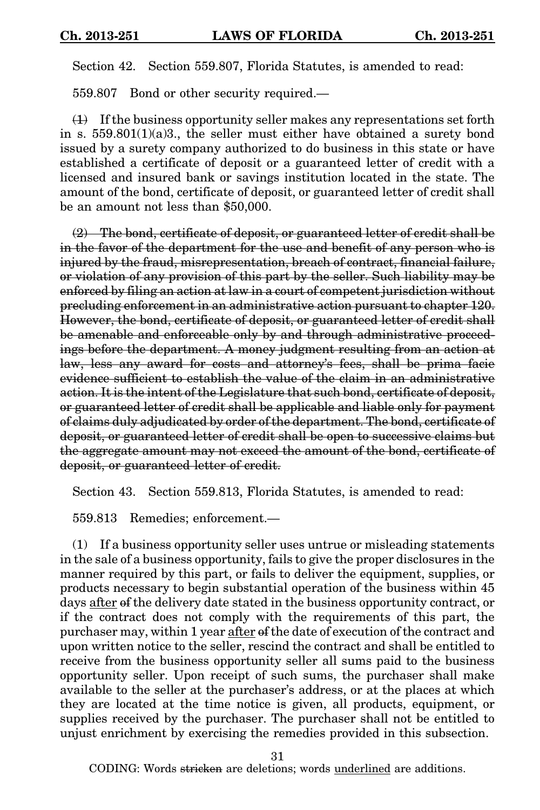Section 42. Section 559.807, Florida Statutes, is amended to read:

559.807 Bond or other security required.—

 $(1)$  If the business opportunity seller makes any representations set forth in s.  $559.801(1)(a)3$ ., the seller must either have obtained a surety bond issued by a surety company authorized to do business in this state or have established a certificate of deposit or a guaranteed letter of credit with a licensed and insured bank or savings institution located in the state. The amount of the bond, certificate of deposit, or guaranteed letter of credit shall be an amount not less than \$50,000.

 $(2)$  The bond, certificate of deposit, or guaranteed letter of credit shall be in the favor of the department for the use and benefit of any person who is injured by the fraud, misrepresentation, breach of contract, financial failure, or violation of any provision of this part by the seller. Such liability may be enforced by filing an action at law in a court of competent jurisdiction without precluding enforcement in an administrative action pursuant to chapter 120. However, the bond, certificate of deposit, or guaranteed letter of credit shall be amenable and enforceable only by and through administrative proceedings before the department. A money judgment resulting from an action at law, less any award for costs and attorney's fees, shall be prima facie evidence sufficient to establish the value of the claim in an administrative action. It is the intent of the Legislature that such bond, certificate of deposit, or guaranteed letter of credit shall be applicable and liable only for payment of claims duly adjudicated by order of the department. The bond, certificate of deposit, or guaranteed letter of credit shall be open to successive claims but the aggregate amount may not exceed the amount of the bond, certificate of deposit, or guaranteed letter of credit.

Section 43. Section 559.813, Florida Statutes, is amended to read:

559.813 Remedies; enforcement.—

(1) If a business opportunity seller uses untrue or misleading statements in the sale of a business opportunity, fails to give the proper disclosures in the manner required by this part, or fails to deliver the equipment, supplies, or products necessary to begin substantial operation of the business within 45 days after of the delivery date stated in the business opportunity contract, or if the contract does not comply with the requirements of this part, the purchaser may, within 1 year after of the date of execution of the contract and upon written notice to the seller, rescind the contract and shall be entitled to receive from the business opportunity seller all sums paid to the business opportunity seller. Upon receipt of such sums, the purchaser shall make available to the seller at the purchaser's address, or at the places at which they are located at the time notice is given, all products, equipment, or supplies received by the purchaser. The purchaser shall not be entitled to unjust enrichment by exercising the remedies provided in this subsection.

31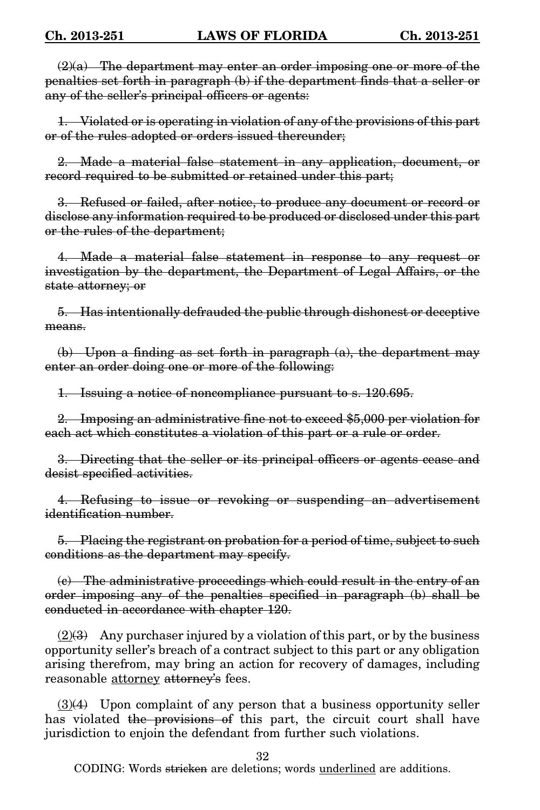$(2)(a)$  The department may enter an order imposing one or more of the penalties set forth in paragraph (b) if the department finds that a seller or any of the seller's principal officers or agents:

1. Violated or is operating in violation of any of the provisions of this part or of the rules adopted or orders issued thereunder;

2. Made a material false statement in any application, document, or record required to be submitted or retained under this part;

3. Refused or failed, after notice, to produce any document or record or disclose any information required to be produced or disclosed under this part or the rules of the department;

4. Made a material false statement in response to any request or investigation by the department, the Department of Legal Affairs, or the state attorney; or

5. Has intentionally defrauded the public through dishonest or deceptive means.

(b) Upon a finding as set forth in paragraph  $(a)$ , the department may enter an order doing one or more of the following:

1. Issuing a notice of noncompliance pursuant to s. 120.695.

2. Imposing an administrative fine not to exceed \$5,000 per violation for each act which constitutes a violation of this part or a rule or order.

3. Directing that the seller or its principal officers or agents cease and desist specified activities.

4. Refusing to issue or revoking or suspending an advertisement identification number.

5. Placing the registrant on probation for a period of time, subject to such conditions as the department may specify.

(c) The administrative proceedings which could result in the entry of an order imposing any of the penalties specified in paragraph (b) shall be conducted in accordance with chapter 120.

 $(2)$ (3) Any purchaser injured by a violation of this part, or by the business opportunity seller's breach of a contract subject to this part or any obligation arising therefrom, may bring an action for recovery of damages, including reasonable <u>attorney</u> attorney's fees.

 $(3)(4)$  Upon complaint of any person that a business opportunity seller has violated the provisions of this part, the circuit court shall have jurisdiction to enjoin the defendant from further such violations.

32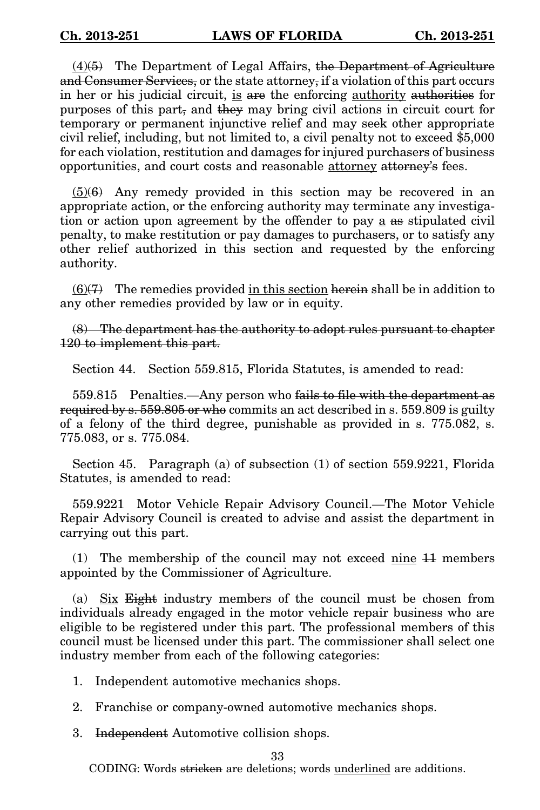$(4)(5)$  The Department of Legal Affairs, the Department of Agriculture and Consumer Services, or the state attorney, if a violation of this part occurs in her or his judicial circuit, is are the enforcing authority authorities for purposes of this part, and they may bring civil actions in circuit court for temporary or permanent injunctive relief and may seek other appropriate civil relief, including, but not limited to, a civil penalty not to exceed \$5,000 for each violation, restitution and damages for injured purchasers of business opportunities, and court costs and reasonable attorney attorney's fees.

 $(5)(6)$  Any remedy provided in this section may be recovered in an appropriate action, or the enforcing authority may terminate any investigation or action upon agreement by the offender to pay a as stipulated civil penalty, to make restitution or pay damages to purchasers, or to satisfy any other relief authorized in this section and requested by the enforcing authority.

 $(6)(7)$  The remedies provided in this section herein shall be in addition to any other remedies provided by law or in equity.

(8) The department has the authority to adopt rules pursuant to chapter 120 to implement this part.

Section 44. Section 559.815, Florida Statutes, is amended to read:

559.815 Penalties.—Any person who fails to file with the department as required by s. 559.805 or who commits an act described in s. 559.809 is guilty of a felony of the third degree, punishable as provided in s. 775.082, s. 775.083, or s. 775.084.

Section 45. Paragraph (a) of subsection (1) of section 559.9221, Florida Statutes, is amended to read:

559.9221 Motor Vehicle Repair Advisory Council.—The Motor Vehicle Repair Advisory Council is created to advise and assist the department in carrying out this part.

(1) The membership of the council may not exceed nine 11 members appointed by the Commissioner of Agriculture.

(a) Six Eight industry members of the council must be chosen from individuals already engaged in the motor vehicle repair business who are eligible to be registered under this part. The professional members of this council must be licensed under this part. The commissioner shall select one industry member from each of the following categories:

1. Independent automotive mechanics shops.

2. Franchise or company-owned automotive mechanics shops.

3. Independent Automotive collision shops.

33